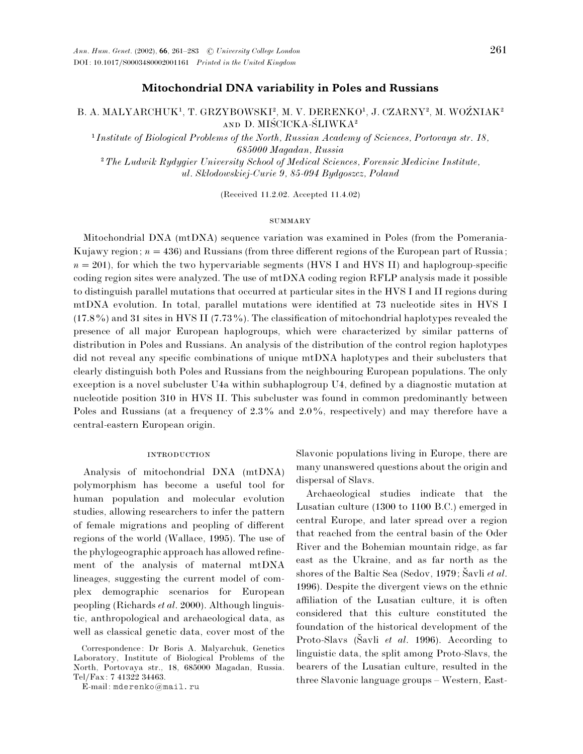### **Mitochondrial DNA variability in Poles and Russians**

### B. A. MALYARCHUK<sup>1</sup>, T. GRZYBOWSKI<sup>2</sup>, M. V. DERENKO<sup>1</sup>, J. CZARNY<sup>2</sup>, M. WOŹNIAK<sup>2</sup> AND D. MIŚCICKA-ŚLIWKA<sup>2</sup> "

 *Institute of Biological Problems of the North, Russian Academy of Sciences, Portovaya str. 18, 685000 Magadan, Russia* #*The Ludwik Rydygier University School of Medical Sciences, Forensic Medicine Institute, ul. Sklodowskiej-Curie 9, 85-094 Bydgoszcz, Poland*

(Received 11.2.02. Accepted 11.4.02)

#### SUMMARY

Mitochondrial DNA (mtDNA) sequence variation was examined in Poles (from the Pomerania-Kujawy region;  $n = 436$ ) and Russians (from three different regions of the European part of Russia;  $n=201$ ), for which the two hypervariable segments (HVS I and HVS II) and haplogroup-specific coding region sites were analyzed. The use of mtDNA coding region RFLP analysis made it possible to distinguish parallel mutations that occurred at particular sites in the HVS I and II regions during mtDNA evolution. In total, parallel mutations were identified at 73 nucleotide sites in HVS I  $(17.8\%)$  and 31 sites in HVS II (7.73%). The classification of mitochondrial haplotypes revealed the presence of all major European haplogroups, which were characterized by similar patterns of distribution in Poles and Russians. An analysis of the distribution of the control region haplotypes did not reveal any specific combinations of unique mtDNA haplotypes and their subclusters that clearly distinguish both Poles and Russians from the neighbouring European populations. The only exception is a novel subcluster U4a within subhaplogroup U4, defined by a diagnostic mutation at nucleotide position 310 in HVS II. This subcluster was found in common predominantly between Poles and Russians (at a frequency of  $2.3\%$  and  $2.0\%$ , respectively) and may therefore have a central-eastern European origin.

### **INTRODUCTION**

Analysis of mitochondrial DNA (mtDNA) polymorphism has become a useful tool for human population and molecular evolution studies, allowing researchers to infer the pattern of female migrations and peopling of different regions of the world (Wallace, 1995). The use of the phylogeographic approach has allowed refinement of the analysis of maternal mtDNA lineages, suggesting the current model of complex demographic scenarios for European peopling (Richards *et al*. 2000). Although linguistic, anthropological and archaeological data, as well as classical genetic data, cover most of the

E-mail: mderenko@mail.ru

Slavonic populations living in Europe, there are many unanswered questions about the origin and dispersal of Slavs.

Archaeological studies indicate that the Lusatian culture (1300 to 1100 B.C.) emerged in central Europe, and later spread over a region that reached from the central basin of the Oder River and the Bohemian mountain ridge, as far east as the Ukraine, and as far north as the shores of the Baltic Sea (Sedov, 1979; Šavli *et al.*) 1996). Despite the divergent views on the ethnic affiliation of the Lusatian culture, it is often considered that this culture constituted the foundation of the historical development of the Proto-Slavs (Šavli *et al.* 1996). According to linguistic data, the split among Proto-Slavs, the bearers of the Lusatian culture, resulted in the three Slavonic language groups – Western, East-

Correspondence: Dr Boris A. Malyarchuk, Genetics Laboratory, Institute of Biological Problems of the North, Portovaya str., 18, 685000 Magadan, Russia. Tel}Fax: 7 41322 34463.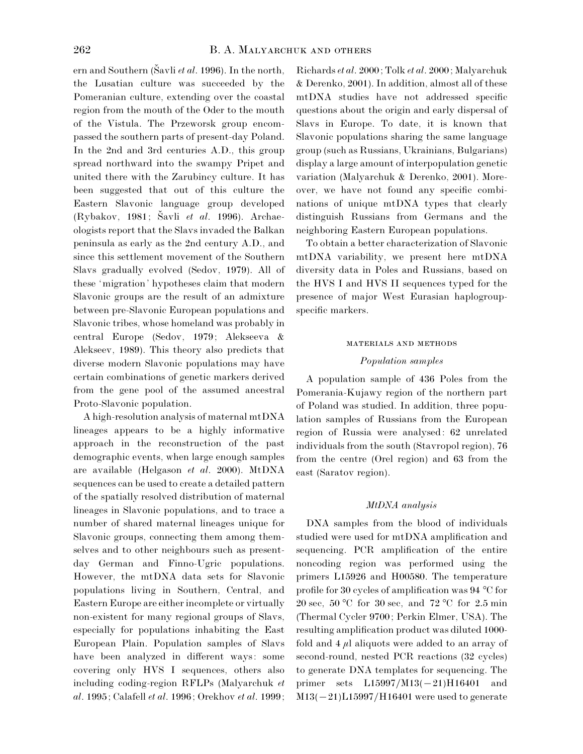ern and Southern (Šavli *et al.* 1996). In the north, the Lusatian culture was succeeded by the Pomeranian culture, extending over the coastal region from the mouth of the Oder to the mouth of the Vistula. The Przeworsk group encompassed the southern parts of present-day Poland. In the 2nd and 3rd centuries A.D., this group spread northward into the swampy Pripet and united there with the Zarubincy culture. It has been suggested that out of this culture the Eastern Slavonic language group developed (Rybakov, 1981; Šavli *et al.* 1996). Archaeologists report that the Slavs invaded the Balkan peninsula as early as the 2nd century A.D., and since this settlement movement of the Southern Slavs gradually evolved (Sedov, 1979). All of these 'migration' hypotheses claim that modern Slavonic groups are the result of an admixture between pre-Slavonic European populations and Slavonic tribes, whose homeland was probably in central Europe (Sedov, 1979; Alekseeva & Alekseev, 1989). This theory also predicts that diverse modern Slavonic populations may have certain combinations of genetic markers derived from the gene pool of the assumed ancestral Proto-Slavonic population.

A high-resolution analysis of maternal mtDNA lineages appears to be a highly informative approach in the reconstruction of the past demographic events, when large enough samples are available (Helgason *et al*. 2000). MtDNA sequences can be used to create a detailed pattern of the spatially resolved distribution of maternal lineages in Slavonic populations, and to trace a number of shared maternal lineages unique for Slavonic groups, connecting them among themselves and to other neighbours such as presentday German and Finno-Ugric populations. However, the mtDNA data sets for Slavonic populations living in Southern, Central, and Eastern Europe are either incomplete or virtually non-existent for many regional groups of Slavs, especially for populations inhabiting the East European Plain. Population samples of Slavs have been analyzed in different ways: some covering only HVS I sequences, others also including coding-region RFLPs (Malyarchuk *et al*. 1995; Calafell *et al*. 1996; Orekhov *et al*. 1999;

Richards*et al*. 2000; Tolk *et al*. 2000; Malyarchuk & Derenko, 2001). In addition, almost all of these mtDNA studies have not addressed specific questions about the origin and early dispersal of Slavs in Europe. To date, it is known that Slavonic populations sharing the same language group (such as Russians, Ukrainians, Bulgarians) display a large amount of interpopulation genetic variation (Malyarchuk & Derenko, 2001). Moreover, we have not found any specific combinations of unique mtDNA types that clearly distinguish Russians from Germans and the neighboring Eastern European populations.

To obtain a better characterization of Slavonic mtDNA variability, we present here mtDNA diversity data in Poles and Russians, based on the HVS I and HVS II sequences typed for the presence of major West Eurasian haplogroupspecific markers.

#### MATERIALS AND METHODS

#### *Population samples*

A population sample of 436 Poles from the Pomerania-Kujawy region of the northern part of Poland was studied. In addition, three population samples of Russians from the European region of Russia were analysed: 62 unrelated individuals from the south (Stavropol region), 76 from the centre (Orel region) and 63 from the east (Saratov region).

#### *MtDNA analysis*

DNA samples from the blood of individuals studied were used for mtDNA amplification and sequencing. PCR amplification of the entire noncoding region was performed using the primers L15926 and H00580. The temperature profile for 30 cycles of amplification was 94 °C for 20 sec, 50 °C for 30 sec, and 72 °C for 2.5 min (Thermal Cycler 9700; Perkin Elmer, USA). The resulting amplification product was diluted 1000 fold and  $4 \mu l$  aliquots were added to an array of second-round, nested PCR reactions (32 cycles) to generate DNA templates for sequencing. The primer sets  $L15997/M13(-21)H16401$  and  $M13(-21)L15997/H16401$  were used to generate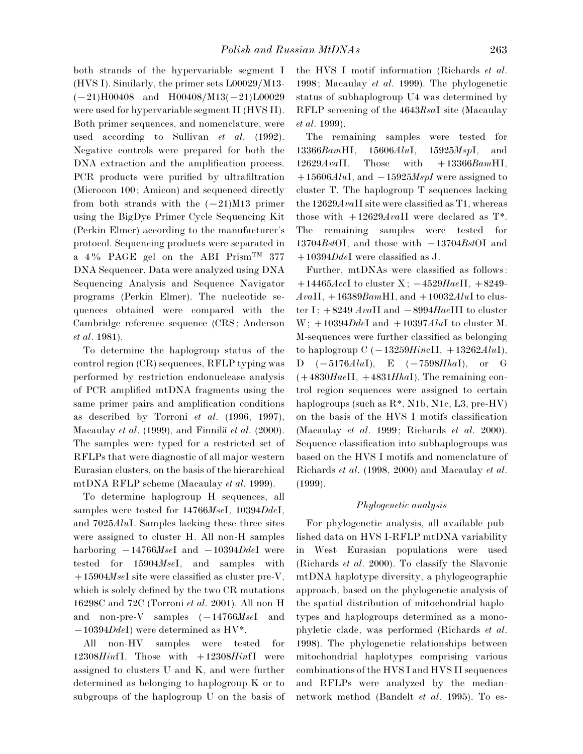both strands of the hypervariable segment I (HVS I). Similarly, the primer sets L00029/M13- $(-21)H00408$  and  $H00408/M13(-21)L00029$ were used for hypervariable segment II (HVS II). Both primer sequences, and nomenclature, were used according to Sullivan *et al*. (1992). Negative controls were prepared for both the DNA extraction and the amplification process. PCR products were purified by ultrafiltration (Microcon 100; Amicon) and sequenced directly from both strands with the  $(-21)$ M13 primer using the BigDye Primer Cycle Sequencing Kit (Perkin Elmer) according to the manufacturer's protocol. Sequencing products were separated in a 4% PAGE gel on the ABI Prism<sup>TM</sup> 377 DNA Sequencer. Data were analyzed using DNA Sequencing Analysis and Sequence Navigator programs (Perkin Elmer). The nucleotide sequences obtained were compared with the Cambridge reference sequence (CRS; Anderson *et al*. 1981).

To determine the haplogroup status of the control region (CR) sequences, RFLP typing was performed by restriction endonuclease analysis of PCR amplified mtDNA fragments using the same primer pairs and amplification conditions as described by Torroni *et al*. (1996, 1997), Macaulay *et al.* (1999), and Finnilä *et al.* (2000). The samples were typed for a restricted set of RFLPs that were diagnostic of all major western Eurasian clusters, on the basis of the hierarchical mtDNA RFLP scheme (Macaulay *et al*. 1999).

To determine haplogroup H sequences, all samples were tested for 14766*Mse*I, 10394*Dde*I, and 7025*Alu*I. Samples lacking these three sites were assigned to cluster H. All non-H samples harboring  $-14766$ *MseI* and  $-10394$ *DdeI* were tested for 15904*Mse*I, and samples with 15904*Mse*I site were classified as cluster pre-V, which is solely defined by the two CR mutations 16298C and 72C (Torroni *et al*. 2001). All non-H and non-pre-V samples  $(-14766MseI)$  and  $-10394DdeI$ ) were determined as HV<sup>\*</sup>.

All non-HV samples were tested for 12308*Hin*fI. Those with 12308*Hin*fI were assigned to clusters U and K, and were further determined as belonging to haplogroup K or to subgroups of the haplogroup U on the basis of the HVS I motif information (Richards *et al*. 1998; Macaulay *et al*. 1999). The phylogenetic status of subhaplogroup U4 was determined by RFLP screening of the 4643*Rsa*I site (Macaulay *et al*. 1999).

The remaining samples were tested for 13366*Bam*HI, 15606*Alu*I, 15925*Msp*I, and 12629*Ava*II. Those with 13366*Bam*HI,  $+15606$ *AluI*, and  $-15925$ *MspI* were assigned to cluster T. The haplogroup T sequences lacking the 12629*Ava*II site were classified as T1, whereas those with  $+12629$ *AvaII* were declared as T<sup>\*</sup>. The remaining samples were tested for  $13704Bst$ OI, and those with  $-13704Bst$ OI and 10394*Dde*I were classified as J.

Further, mtDNAs were classified as follows:  $+14465AccI$  to cluster X;  $-4529HaeII$ ,  $+8249-I$  $AvaII, +16389BamHI,$  and  $+10032AluI$  to cluster I;  $+8249$  *AvaII* and  $-8994$ *HaeIII* to cluster  $W$ ;  $+10394DdeI$  and  $+10397AluI$  to cluster M. M-sequences were further classified as belonging to haplogroup  $C$  ( $-13259HincII$ ,  $+13262AluI$ ),  $D \quad (-5176AluI), \quad E \quad (-7598HhaI), \quad \text{or} \quad G$ (4830*Hae*II, 4831*Hha*I). The remaining control region sequences were assigned to certain haplogroups (such as R\*, N1b, N1c, L3, pre-HV) on the basis of the HVS I motifs classification (Macaulay *et al*. 1999; Richards *et al*. 2000). Sequence classification into subhaplogroups was based on the HVS I motifs and nomenclature of Richards *et al*. (1998, 2000) and Macaulay *et al*. (1999).

#### *Phylogenetic analysis*

For phylogenetic analysis, all available published data on HVS I-RFLP mtDNA variability in West Eurasian populations were used (Richards *et al*. 2000). To classify the Slavonic mtDNA haplotype diversity, a phylogeographic approach, based on the phylogenetic analysis of the spatial distribution of mitochondrial haplotypes and haplogroups determined as a monophyletic clade, was performed (Richards *et al*. 1998). The phylogenetic relationships between mitochondrial haplotypes comprising various combinations of the HVS I and HVS II sequences and RFLPs were analyzed by the mediannetwork method (Bandelt *et al*. 1995). To es-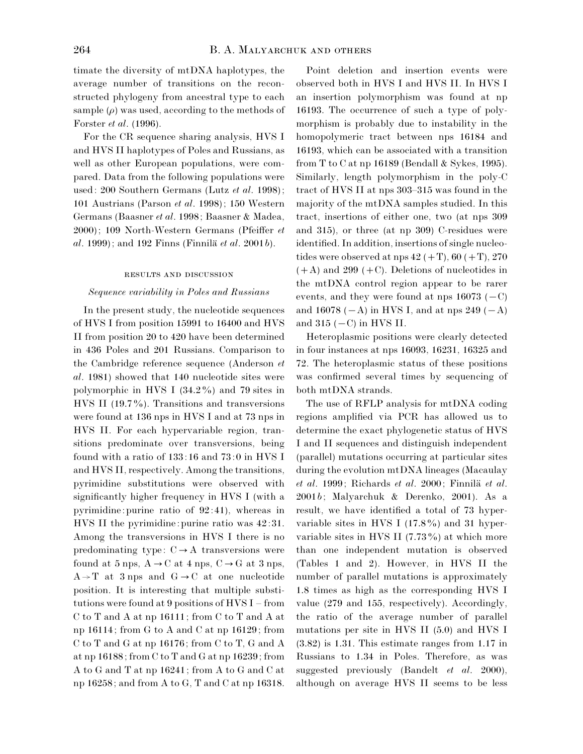timate the diversity of mtDNA haplotypes, the average number of transitions on the reconstructed phylogeny from ancestral type to each sample  $(\rho)$  was used, according to the methods of Forster *et al*. (1996).

For the CR sequence sharing analysis, HVS I and HVS II haplotypes of Poles and Russians, as well as other European populations, were compared. Data from the following populations were used: 200 Southern Germans (Lutz *et al*. 1998); 101 Austrians (Parson *et al*. 1998); 150 Western Germans (Baasner *et al*. 1998; Baasner & Madea, 2000); 109 North-Western Germans (Pfeiffer *et*  $al. 1999$ ; and  $192$  Finns (Finnila *et al.* 2001*b*).

#### RESULTS AND DISCUSSION

#### *Sequence variability in Poles and Russians*

In the present study, the nucleotide sequences of HVS I from position 15991 to 16400 and HVS II from position 20 to 420 have been determined in 436 Poles and 201 Russians. Comparison to the Cambridge reference sequence (Anderson *et al*. 1981) showed that 140 nucleotide sites were polymorphic in HVS I  $(34.2\%)$  and 79 sites in HVS II (19.7%). Transitions and transversions were found at 136 nps in HVS I and at 73 nps in HVS II. For each hypervariable region, transitions predominate over transversions, being found with a ratio of  $133:16$  and  $73:0$  in HVS I and HVS II, respectively. Among the transitions, pyrimidine substitutions were observed with significantly higher frequency in HVS I (with a pyrimidine: purine ratio of  $92:41$ ), whereas in HVS II the pyrimidine: purine ratio was  $42:31$ . Among the transversions in HVS I there is no predominating type:  $C \rightarrow A$  transversions were found at 5 nps,  $A \rightarrow C$  at 4 nps,  $C \rightarrow G$  at 3 nps,  $A \rightarrow T$  at 3 nps and  $G \rightarrow C$  at one nucleotide position. It is interesting that multiple substitutions were found at 9 positions of HVS I – from C to T and A at np 16111; from C to T and A at np 16114; from G to A and C at np 16129; from C to T and G at np 16176; from C to T, G and A at np 16188; from C to T and G at np 16239; from A to G and T at np 16241; from A to G and C at np 16258; and from A to G, T and C at np 16318.

Point deletion and insertion events were observed both in HVS I and HVS II. In HVS I an insertion polymorphism was found at np 16193. The occurrence of such a type of polymorphism is probably due to instability in the homopolymeric tract between nps 16184 and 16193, which can be associated with a transition from T to C at np 16189 (Bendall & Sykes, 1995). Similarly, length polymorphism in the poly-C tract of HVS II at nps 303–315 was found in the majority of the mtDNA samples studied. In this tract, insertions of either one, two (at nps 309 and 315), or three (at np 309) C-residues were identified. In addition, insertions of single nucleotides were observed at nps  $42 (+T), 60 (+T), 270$  $(+ A)$  and 299  $(+ C)$ . Deletions of nucleotides in the mtDNA control region appear to be rarer events, and they were found at nps  $16073$  ( $-C$ ) and 16078 ( $-A$ ) in HVS I, and at nps 249 ( $-A$ ) and  $315$  ( $-C$ ) in HVS II.

Heteroplasmic positions were clearly detected in four instances at nps 16093, 16231, 16325 and 72. The heteroplasmic status of these positions was confirmed several times by sequencing of both mtDNA strands.

The use of RFLP analysis for mtDNA coding regions amplified via PCR has allowed us to determine the exact phylogenetic status of HVS I and II sequences and distinguish independent (parallel) mutations occurring at particular sites during the evolution mtDNA lineages (Macaulay *et al.* 1999; Richards *et al.* 2000; Finnilä *et al.* 2001*b*; Malyarchuk & Derenko, 2001). As a result, we have identified a total of 73 hypervariable sites in HVS I  $(17.8\%)$  and 31 hypervariable sites in HVS II  $(7.73\%)$  at which more than one independent mutation is observed (Tables 1 and 2). However, in HVS II the number of parallel mutations is approximately 1.8 times as high as the corresponding HVS I value (279 and 155, respectively). Accordingly, the ratio of the average number of parallel mutations per site in HVS II  $(5.0)$  and HVS I  $(3.82)$  is 1.31. This estimate ranges from 1.17 in Russians to 1.34 in Poles. Therefore, as was suggested previously (Bandelt *et al*. 2000), although on average HVS II seems to be less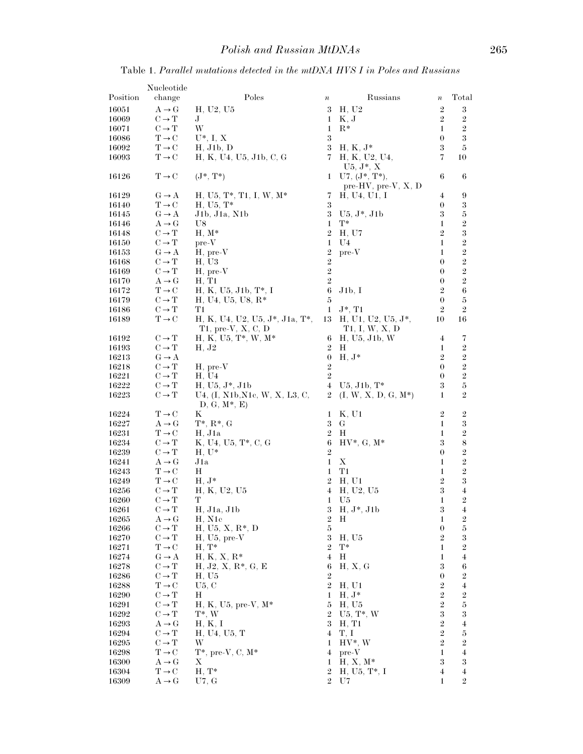Table 1. *Parallel mutations detected in the mtDNA HVS I in Poles and Russians*

|                | Nucleotide                                             |                                                     |                                  |                                           |                         |                                             |
|----------------|--------------------------------------------------------|-----------------------------------------------------|----------------------------------|-------------------------------------------|-------------------------|---------------------------------------------|
| Position       | change                                                 | Poles                                               | $\boldsymbol{n}$                 | Russians                                  | $\boldsymbol{n}$        | Total                                       |
| 16051          | $A \rightarrow G$                                      | H, U2, U5                                           | 3                                | H, U2                                     | $\sqrt{2}$              | $\boldsymbol{3}$                            |
| 16069          | $C \rightarrow T$                                      | J                                                   | 1                                | K, J                                      | $\overline{2}$          | $\boldsymbol{2}$                            |
| 16071          | $C \rightarrow T$                                      | W                                                   | 1                                | $_{\rm R*}$                               | $\mathbf{1}$            | $\sqrt{2}$                                  |
| 16086          | $T \rightarrow C$                                      | $U^*, I, X$                                         | $\boldsymbol{3}$                 |                                           | $\boldsymbol{0}$        | $\sqrt{3}$                                  |
| 16092          | $T \rightarrow C$                                      | H, J1b, D                                           | $\sqrt{3}$                       | $H, K, J^*$                               | 3                       | $\rm 5$                                     |
| 16093          | $T \rightarrow C$                                      | H, K, U4, U5, J1b, C, G                             | 7                                | H, K, U2, U4,<br>$U5, J^*, X$             | 7                       | 10                                          |
| 16126          | $\text{T} \rightarrow \text{C}$                        | $(J^*, T^*)$                                        | 1                                | $U7, (J^*, T^*)$<br>pre-HV, pre-V, $X, D$ | 6                       | 6                                           |
| 16129          | $G \rightarrow A$                                      | H, U5, T*, T1, I, W, M*                             | 7                                | H, U <sub>4</sub> , U <sub>1</sub> , I    | 4                       | 9                                           |
| 16140          | $T \rightarrow C$                                      | $H, U5, T^*$                                        | $\boldsymbol{3}$                 |                                           | $\boldsymbol{0}$        | 3                                           |
| 16145          | $G \rightarrow A$                                      | J1b, J1a, N1b                                       | $\boldsymbol{3}$                 | $U5, J^*, J1b$                            | 3                       | $\bf 5$                                     |
| 16146<br>16148 | $A \rightarrow G$<br>$C \rightarrow T$                 | U8<br>$H, M^*$                                      | 1<br>$\sqrt{2}$                  | $T^*$<br>H, U7                            | 1<br>$\boldsymbol{2}$   | $\sqrt{2}$<br>3                             |
| 16150          | $C \rightarrow T$                                      | $pre-V$                                             | 1                                | U4                                        | $\mathbf{1}$            | $\overline{2}$                              |
| 16153          | $G \rightarrow A$                                      | $H$ , pre- $V$                                      | $\sqrt{2}$                       | $pre-V$                                   | $\mathbf{1}$            | $\,2$                                       |
| 16168          | $C \rightarrow T$                                      | H, U3                                               | $\boldsymbol{2}$                 |                                           | $\boldsymbol{0}$        | $\overline{2}$                              |
| 16169          | $C \rightarrow T$                                      | $H$ , pre- $V$                                      | $\overline{2}$                   |                                           | $\boldsymbol{0}$        | $\overline{2}$                              |
| 16170          | $A \rightarrow G$                                      | H. T1                                               | $\overline{2}$                   |                                           | $\boldsymbol{0}$        | $\,2$                                       |
| 16172          | $T \rightarrow C$                                      | H. K. U5, J1b, T*, I                                | 6                                | J1b, I                                    | $\boldsymbol{2}$        | 6                                           |
| 16179          | $C \rightarrow T$                                      | $H, U4, U5, U8, R*$                                 | 5                                |                                           | $\boldsymbol{0}$        | $\bf 5$                                     |
| 16186<br>16189 | $C \rightarrow T$<br>$T \rightarrow C$                 | T1<br>$H, K, U4, U2, U5, J^*, J1a, T^*,$            | $\mathbf{1}$                     | $J^*, T1$<br>13 H, U1, U2, U5, $J^*$ ,    | $\overline{2}$<br>10    | $\,2$<br>16                                 |
|                |                                                        | $T1$ , pre-V, X, C, D                               |                                  | T1, I, W, X, D                            |                         |                                             |
| 16192          | $C \rightarrow T$                                      | $H, K, U5, T^*, W, M^*$                             | 6                                | H, U5, J1b, W                             | 4                       | 7                                           |
| 16193          | $C \rightarrow T$                                      | H, J2                                               | $\,2$                            | Н                                         | 1                       | $\boldsymbol{2}$                            |
| 16213          | $G \rightarrow A$                                      |                                                     | $\boldsymbol{0}$                 | $H, J^*$                                  | $\boldsymbol{2}$        | $\overline{2}$                              |
| 16218          | $C \rightarrow T$                                      | $H$ , pre- $V$                                      | $\,2$                            |                                           | $\boldsymbol{0}$        | $\,2$                                       |
| 16221          | $C \rightarrow T$                                      | H, U4                                               | $\sqrt{2}$                       |                                           | $\boldsymbol{0}$        | $\boldsymbol{2}$                            |
| 16222<br>16223 | $\mathrm{C}\rightarrow\mathrm{T}$<br>$C \rightarrow T$ | $H, U5, J^*, J1b$<br>U4, (I, N1b, N1c, W, X, L3, C, | $\overline{4}$<br>$\overline{2}$ | $U5, J1b, T^*$<br>$(I, W, X, D, G, M^*)$  | 3<br>$\mathbf{1}$       | $\bf 5$<br>$\overline{2}$                   |
| 16224          | $T \rightarrow C$                                      | $D, G, M^*, E$<br>Κ                                 |                                  | K, U1                                     | $\overline{2}$          |                                             |
| 16227          | $A \rightarrow G$                                      | $T^*, R^*, G$                                       | $\mathbf 1$<br>$\boldsymbol{3}$  | G                                         | $\mathbf{1}$            | $\boldsymbol{2}$<br>$\boldsymbol{3}$        |
| 16231          | $T \rightarrow C$                                      | H, J1a                                              | $\,2$                            | H                                         | $\mathbf{1}$            | $\boldsymbol{2}$                            |
| 16234          | $C \rightarrow T$                                      | K, U4, U5, T*, C, G                                 | $\boldsymbol{6}$                 | $HV^*, G, M^*$                            | 3                       | $\,$ $\,$                                   |
| 16239          | $C \rightarrow T$                                      | $H, U^*$                                            | $\sqrt{2}$                       |                                           | $\boldsymbol{0}$        | $\,2$                                       |
| 16241          | $A \rightarrow G$                                      | J1a                                                 | $\mathbf 1$                      | X                                         | 1                       | $\boldsymbol{2}$                            |
| 16243          | $T \rightarrow C$                                      | Η                                                   | $\mathbf 1$                      | T1                                        | 1                       | $\overline{2}$                              |
| 16249          | $T \rightarrow C$                                      | $H, J^*$                                            | $\sqrt{2}$                       | H. U1                                     | $\overline{2}$          | $\boldsymbol{3}$                            |
| 16256<br>16260 | $C \rightarrow T$<br>$C \rightarrow T$                 | H, K, U2, U5<br>т                                   | 4<br>$\mathbf 1$                 | H, U2, U5<br>U5                           | 3<br>1                  | $\overline{\mathbf{4}}$<br>$\overline{2}$   |
| 16261          | $\mathrm{C}\rightarrow\mathrm{T}$                      | H, J1a, J1b                                         | 3                                | $H, J^*, J1b$                             | 3                       | 4                                           |
| 16265          | $A \rightarrow G$                                      | H, N1c                                              | $\sqrt{2}$                       | H                                         | 1                       | $\boldsymbol{2}$                            |
| 16266          | $C \rightarrow T$                                      | $H, U5, X, R*, D$                                   | $\overline{5}$                   |                                           | $\boldsymbol{0}$        | $\bf 5$                                     |
| 16270          | $C \rightarrow T$                                      | $H, U5, pre-V$                                      | $\boldsymbol{3}$                 | H, U5                                     | $\overline{2}$          | $\boldsymbol{3}$                            |
| 16271          | $T \rightarrow C$                                      | $H, T^*$                                            | $\overline{2}$                   | $T^*$                                     | 1                       | $\boldsymbol{2}$                            |
| 16274          | $G \rightarrow A$                                      | $H, K, X, R^*$                                      | $\overline{4}$                   | Н                                         | 1                       | $\overline{4}$                              |
| 16278          | $C \rightarrow T$<br>$C \rightarrow T$                 | $H, J2, X, R*, G, E$                                | 6<br>$\sqrt{2}$                  | H, X, G                                   | 3<br>$\boldsymbol{0}$   | 6                                           |
| 16286<br>16288 | $T \rightarrow C$                                      | H, U5<br>U5, C                                      | $\sqrt{2}$                       | H, U1                                     | $\overline{2}$          | $\boldsymbol{2}$<br>$\overline{\mathbf{4}}$ |
| 16290          | $C \rightarrow T$                                      | Н                                                   | 1                                | $H, J^*$                                  | $\boldsymbol{2}$        | $\,2$                                       |
| 16291          | $C \rightarrow T$                                      | $H, K, U5, pre-V, M*$                               | $\bf 5$                          | H. U5                                     | $\overline{2}$          | $\bf 5$                                     |
| 16292          | $C \rightarrow T$                                      | $T^*$ , W                                           | $\,2$                            | $U5, T^*, W$                              | 3                       | 3                                           |
| 16293          | $A \rightarrow G$                                      | H, K, I                                             | $\sqrt{3}$                       | H, T1                                     | $\boldsymbol{2}$        | $\overline{\mathbf{4}}$                     |
| 16294          | $\mathrm{C}\rightarrow\mathrm{T}$                      | H, U4, U5, T                                        | 4                                | T, I                                      | $\overline{2}$          | $\bf 5$                                     |
| 16295          | $C \rightarrow T$                                      | W                                                   | 1                                | $HV^*, W$                                 | $\overline{2}$          | $\boldsymbol{2}$                            |
| 16298          | $T \rightarrow C$<br>$A \rightarrow G$                 | $T^*$ , pre-V, C, $M^*$                             | 4                                | $pre-V$<br>$H, X, M^*$                    | $\mathbf{1}$<br>3       | $\overline{\mathbf{4}}$<br>3                |
| 16300<br>16304 | $T \rightarrow C$                                      | Х<br>$H, T^*$                                       | 1<br>$\sqrt{2}$                  | $H, U5, T*, I$                            | $\overline{\mathbf{4}}$ | $\overline{4}$                              |
| 16309          | $A \rightarrow G$                                      | U7, G                                               | $\,2$                            | U7                                        | $\mathbf{1}$            | $\,2$                                       |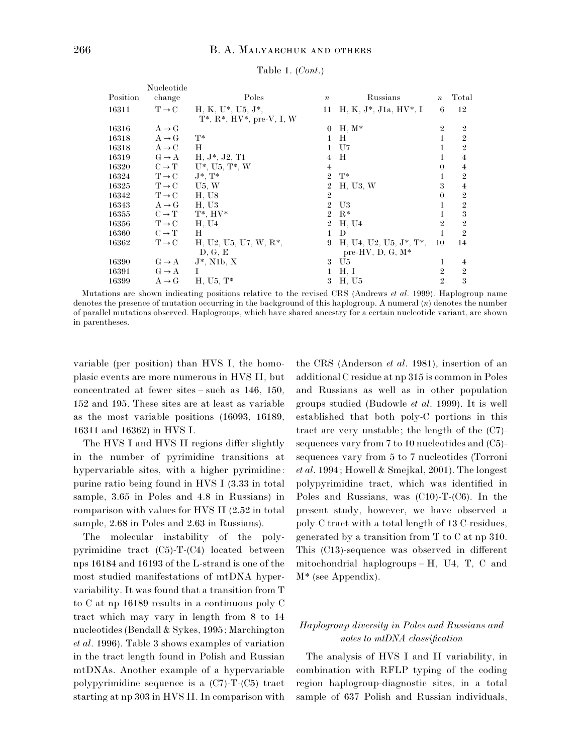|          | Nucleotide        |                                                               |                  |                            |                  |                |
|----------|-------------------|---------------------------------------------------------------|------------------|----------------------------|------------------|----------------|
| Position | change            | Poles                                                         | $\boldsymbol{n}$ | Russians                   | $\boldsymbol{n}$ | Total          |
| 16311    | $T \rightarrow C$ | $H, K, U^*, U5, J^*,$<br>$T^*$ , $R^*$ , $HV^*$ , pre-V, I, W | 11               | $H, K, J^*, J1a, HV^*, I$  | 6                | 12             |
| 16316    | $A \rightarrow G$ |                                                               | $\theta$         | $H, M^*$                   | $\overline{2}$   | $\overline{2}$ |
| 16318    | $A \rightarrow G$ | $T^*$                                                         | 1                | Н                          | 1                | $\overline{2}$ |
| 16318    | $A \rightarrow C$ | Н                                                             |                  | U7                         |                  | $\overline{2}$ |
| 16319    | $G \rightarrow A$ | $H, J^*, J2, T1$                                              | 4                | Н                          | 1                | $\overline{4}$ |
| 16320    | $C \rightarrow T$ | $U^*$ , $U5$ , $T^*$ , $W$                                    | 4                |                            | $\theta$         | $\overline{4}$ |
| 16324    | $T \rightarrow C$ | $J^*, T^*$                                                    | $\mathfrak{D}$   | $T^*$                      |                  | $\overline{2}$ |
| 16325    | $T \rightarrow C$ | U5, W                                                         | $\overline{2}$   | H, U3, W                   | 3                | $\overline{4}$ |
| 16342    | $T \rightarrow C$ | H. U8                                                         | $\overline{2}$   |                            | $\theta$         | $\overline{2}$ |
| 16343    | $A \rightarrow G$ | H. U3                                                         | $\overline{2}$   | U3                         | 1                | $\overline{2}$ |
| 16355    | $C \rightarrow T$ | $T^*$ , $HV^*$                                                | $\mathfrak{D}$   | $R^*$                      |                  | 3              |
| 16356    | $T \rightarrow C$ | H, U4                                                         | $\overline{2}$   | H, U4                      | 2                | $\overline{2}$ |
| 16360    | $C \rightarrow T$ | Н                                                             |                  | D                          | 1                | $\overline{2}$ |
| 16362    | $T \rightarrow C$ | $H, U2, U5, U7, W, R*,$                                       | 9                | $H, U4, U2, U5, J^*, T^*,$ | 10               | 14             |
|          |                   | D, G, E                                                       |                  | pre-HV, $D, G, M^*$        |                  |                |
| 16390    | $G \rightarrow A$ | $J^*$ , N1b, X                                                | 3                | U5                         | 1                | $\overline{4}$ |
| 16391    | $G \rightarrow A$ |                                                               |                  | H, I                       | $\overline{2}$   | $\overline{2}$ |
| 16399    | $A \rightarrow G$ | $H, U5, T^*$                                                  | 3                | H, U5                      | $\overline{2}$   | 3              |

#### Table 1. (*Cont*.)

Mutations are shown indicating positions relative to the revised CRS (Andrews *et al*. 1999). Haplogroup name denotes the presence of mutation occurring in the background of this haplogroup. A numeral (*n*) denotes the number of parallel mutations observed. Haplogroups, which have shared ancestry for a certain nucleotide variant, are shown in parentheses.

variable (per position) than HVS I, the homoplasic events are more numerous in HVS II, but concentrated at fewer sites – such as 146, 150, 152 and 195. These sites are at least as variable as the most variable positions (16093, 16189, 16311 and 16362) in HVS I.

The HVS I and HVS II regions differ slightly in the number of pyrimidine transitions at hypervariable sites, with a higher pyrimidine: purine ratio being found in HVS I  $(3.33 \text{ in total})$ sample, 3.65 in Poles and 4.8 in Russians) in comparison with values for HVS II  $(2.52 \text{ in total})$ sample, 2.68 in Poles and 2.63 in Russians).

The molecular instability of the polypyrimidine tract (C5)-T-(C4) located between nps 16184 and 16193 of the L-strand is one of the most studied manifestations of mtDNA hypervariability. It was found that a transition from T to C at np 16189 results in a continuous poly-C tract which may vary in length from 8 to 14 nucleotides (Bendall & Sykes, 1995; Marchington *et al*. 1996). Table 3 shows examples of variation in the tract length found in Polish and Russian mtDNAs. Another example of a hypervariable polypyrimidine sequence is a (C7)-T-(C5) tract starting at np 303 in HVS II. In comparison with

the CRS (Anderson *et al*. 1981), insertion of an additional C residue at np 315 is common in Poles and Russians as well as in other population groups studied (Budowle *et al*. 1999). It is well established that both poly-C portions in this tract are very unstable; the length of the (C7) sequences vary from 7 to 10 nucleotides and (C5) sequences vary from 5 to 7 nucleotides (Torroni *et al*. 1994; Howell & Smejkal, 2001). The longest polypyrimidine tract, which was identified in Poles and Russians, was (C10)-T-(C6). In the present study, however, we have observed a poly-C tract with a total length of 13 C-residues, generated by a transition from T to C at np 310. This (C13)-sequence was observed in different mitochondrial haplogroups – H, U4, T, C and M\* (see Appendix).

### *Haplogroup diversity in Poles and Russians and notes to mtDNA classification*

The analysis of HVS I and II variability, in combination with RFLP typing of the coding region haplogroup-diagnostic sites, in a total sample of 637 Polish and Russian individuals,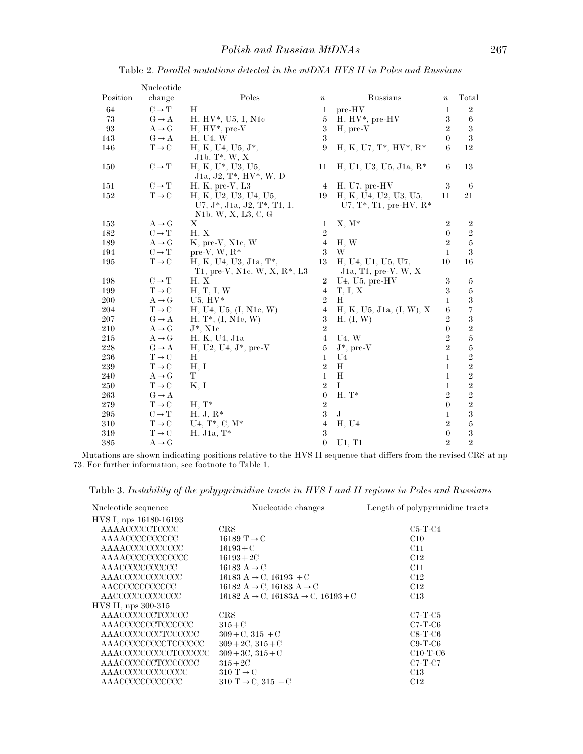|                    | Nucleotide        |                                                                             |                  |                                                                        |                  |                         |
|--------------------|-------------------|-----------------------------------------------------------------------------|------------------|------------------------------------------------------------------------|------------------|-------------------------|
| Position           | change            | Poles                                                                       | $\boldsymbol{n}$ | Russians                                                               | $\boldsymbol{n}$ | Total                   |
| 64                 | $C \rightarrow T$ | Η                                                                           | $\mathbf{1}$     | pre-HV                                                                 | 1                | $\,2$                   |
| 73                 | $G \rightarrow A$ | $H, HV^*, U5, I, N1c$                                                       | $\overline{5}$   | $H, HV^*$ , pre- $HV$                                                  | $\sqrt{3}$       | $\boldsymbol{6}$        |
| 93                 | $A \rightarrow G$ | $H, HV^*, pre-V$                                                            | $\sqrt{3}$       | $H$ , pre- $V$                                                         | $\,2$            | $\sqrt{3}$              |
| 143                | $G \rightarrow A$ | H, U <sub>4</sub> , W                                                       | $\sqrt{3}$       |                                                                        | $\theta$         | $\sqrt{3}$              |
| 146                | $T \rightarrow C$ | H, K, U4, U5, J*,<br>$J1b, T^*, W, X$                                       | 9                | $H, K, U7, T^*, HV^*, R^*$                                             | 6                | 12                      |
| 150                | $C \rightarrow T$ | H, K, U*, U3, U5,<br>J1a, J2, T*, HV*, W, D                                 | 11               | $H, U1, U3, U5, J1a, R*$                                               | 6                | 13                      |
| 151                | $C \rightarrow T$ | $H, K, pre-V, L3$                                                           | $\overline{4}$   | $H, U7, pre-HV$                                                        | 3                | 6                       |
| 152                | $T \rightarrow C$ | H. K. U2. U3. U4. U5.<br>U7, J*, J1a, J2, T*, T1, I,<br>N1b, W, X, L3, C, G | 19               | H, K, U4, U2, U3, U5,<br>U7, $T^*$ , T1, pre-HV, $R^*$                 | 11               | 21                      |
| 153                | $A \rightarrow G$ | Х                                                                           | $\mathbf{1}$     | $X, M^*$                                                               | $\overline{2}$   | $\overline{2}$          |
| 182                | $C \rightarrow T$ | H. X                                                                        | $\overline{2}$   |                                                                        | $\theta$         | $\sqrt{2}$              |
| 189                | $A \rightarrow G$ | K, pre-V, N1c, W                                                            | $\overline{4}$   | H. W                                                                   | $\,2$            | $\bf 5$                 |
| 194                | $C \rightarrow T$ | pre-V, W, $R^*$                                                             | 3                | W                                                                      | $\mathbf{1}$     | $\overline{\mathbf{3}}$ |
| 195                | $T \rightarrow C$ | H. K. U4. U3. J1a. T*.                                                      | 13               | H, U <sub>4</sub> , U <sub>1</sub> , U <sub>5</sub> , U <sub>7</sub> , | 10               | 16                      |
|                    |                   | T1, pre-V, N1c, W, X, R <sup>*</sup> , L3                                   |                  | J1a, T1, pre-V, W, X                                                   |                  |                         |
| 198                | $C \rightarrow T$ | H, X                                                                        | $\overline{2}$   | $U4, U5, pre-HV$                                                       | $\boldsymbol{3}$ | 5                       |
| 199                | $T \rightarrow C$ | H, T, I, W                                                                  | $\overline{4}$   | T, I, X                                                                | $\sqrt{3}$       | $\bf 5$                 |
| 200                | $A \rightarrow G$ | $U5. HV*$                                                                   | $\overline{2}$   | H                                                                      | $\mathbf{1}$     | $\boldsymbol{3}$        |
| 204                | $T \rightarrow C$ | H, U4, U5, (I, N1c, W)                                                      | $\overline{4}$   | H, K, U5, J1a, (I, W), X                                               | $\boldsymbol{6}$ | $\overline{7}$          |
| 207                | $G \rightarrow A$ | $H, T^*, (I, N1c, W)$                                                       | $\sqrt{3}$       | H, (I, W)                                                              | $\sqrt{2}$       | 3                       |
| 210                | $A \rightarrow G$ | $J^*$ , N1 $c$                                                              | $\sqrt{2}$       |                                                                        | $\theta$         | $\sqrt{2}$              |
| 215                | $A \rightarrow G$ | H, K, U4, J1a                                                               | $\overline{4}$   | U4. W                                                                  | $\,2$            | $\rm 5$                 |
| 228                | $G \rightarrow A$ | $H, U2, U4, J^*$ , pre-V                                                    | $\overline{5}$   | $\mathrm{J}^*,\,\mathrm{pre}\text{-}\mathrm{V}$                        | $\overline{2}$   | $\bf 5$                 |
| 236                | $T \rightarrow C$ | Н                                                                           | $\mathbf{1}$     | U <sub>4</sub>                                                         | $\mathbf{1}$     | $\sqrt{2}$              |
| 239                | $T \rightarrow C$ | H, I                                                                        | $\overline{2}$   | H                                                                      | $\mathbf{1}$     | $\sqrt{2}$              |
| 240                | $A \rightarrow G$ | Т                                                                           | $\mathbf{1}$     | H                                                                      | 1                | $\sqrt{2}$              |
| 250                | $T \rightarrow C$ | K, I                                                                        | $\sqrt{2}$       | L                                                                      | 1                | $\sqrt{2}$              |
| 263                | $G \rightarrow A$ |                                                                             | $\theta$         | $H, T^*$                                                               | $\sqrt{2}$       | $\overline{2}$          |
| 279                | $T \rightarrow C$ | $H, T^*$                                                                    | $\sqrt{2}$       |                                                                        | $\theta$         | $\frac{2}{3}$           |
| $\boldsymbol{295}$ | $C \rightarrow T$ | $H, J, R^*$                                                                 | $\sqrt{3}$       | ${\bf J}$                                                              | $\mathbf{1}$     |                         |
| 310                | $T \rightarrow C$ | $U4, T^*, C, M^*$                                                           | $\overline{4}$   | H, U4                                                                  | $\,2$            | $\bar{\rm{5}}$          |
| 319                | $T \rightarrow C$ | $H, J1a, T^*$                                                               | $\sqrt{3}$       |                                                                        | $\boldsymbol{0}$ | $\sqrt{3}$              |
| 385                | $A \rightarrow G$ |                                                                             | $\theta$         | U1, T1                                                                 | $\overline{2}$   | $\overline{2}$          |

Table 2. *Parallel mutations detected in the mtDNA HVS II in Poles and Russians*

Mutations are shown indicating positions relative to the HVS II sequence that differs from the revised CRS at np 73. For further information, see footnote to Table 1.

Table 3. *Instability of the polypyrimidine tracts in HVS I and II regions in Poles and Russians*

| Nucleotide sequence    | Nucleotide changes                                                                               | Length of polypyrimidine tracts |
|------------------------|--------------------------------------------------------------------------------------------------|---------------------------------|
| HVS I, nps 16180-16193 |                                                                                                  |                                 |
| AAAACCCCCTCCCC         | CRS                                                                                              | $C5-T-C4$                       |
| AAAACCCCCCCCCCC        | 16189 T $\rightarrow$ C                                                                          | C10                             |
| AAAACCCCCCCCCCC        | $16193 + C$                                                                                      | C11                             |
| AAAACCCCCCCCCCCCC      | $16193 + 2C$                                                                                     | C12                             |
| AAACCCCCCCCCCC         | 16183 $A \rightarrow C$                                                                          | C11                             |
| AAACCCCCCCCCCCC        | 16183 A $\rightarrow$ C, 16193 + C                                                               | C12                             |
| AACCCCCCCCCCCC         | 16182 A $\rightarrow$ C, 16183 A $\rightarrow$ C                                                 | C <sub>12</sub>                 |
| AACCCCCCCCCCCCC        | $16182 \text{ A} \rightarrow \text{C}$ , $16183\text{A} \rightarrow \text{C}$ , $16193+\text{C}$ | C13                             |
| HVS II, nps 300-315    |                                                                                                  |                                 |
| AAACCCCCCCTCCCCC       | CRS                                                                                              | $C7-T-C5$                       |
| AAACCCCCCCTCCCCCC      | $315 + C$                                                                                        | $C7-T-C6$                       |
| AAACCCCCCCCTCCCCCC     | $309 + C$ , $315 + C$                                                                            | $C8-T-C6$                       |
| AAACCCCCCCCCTCCCCCC    | $309 + 2C$ , $315 + C$                                                                           | $C9-T-C6$                       |
| AAACCCCCCCCCCTCCCCCC   | $309 + 3C$ , $315 + C$                                                                           | $C10-T-C6$                      |
| AAACCCCCCCTCCCCCCC     | $315 + 2C$                                                                                       | C7-T-C7                         |
| AAACCCCCCCCCCCCCC      | $310 \text{ T} \rightarrow \text{C}$                                                             | C13                             |
| AAACCCCCCCCCCCC        | $310 \text{ T} \rightarrow \text{C}$ , $315 - \text{C}$                                          | C <sub>12</sub>                 |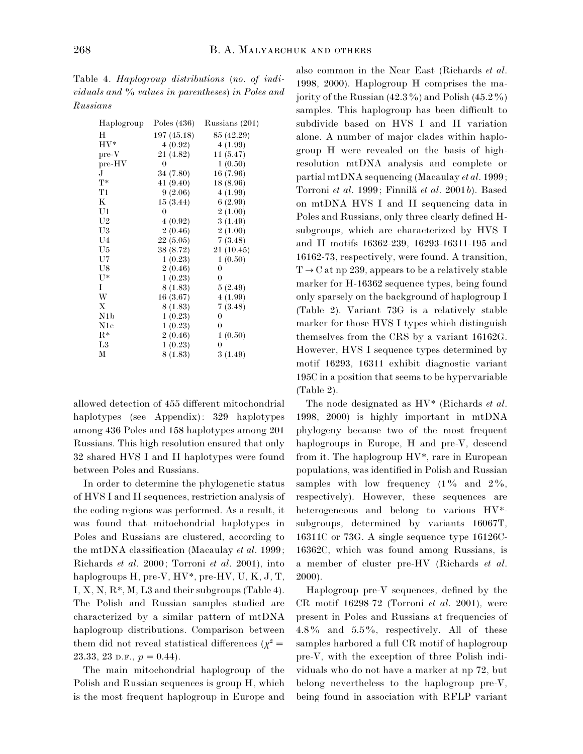Table 4. *Haplogroup distributions* (*no*. *of individuals and* % *values in parentheses*) *in Poles and Russians*

| Haplogroup       | Poles (436) | Russians (201)   |
|------------------|-------------|------------------|
| Н                | 197 (45.18) | 85 (42.29)       |
| $HV^*$           | 4(0.92)     | 4(1.99)          |
| $pre-V$          | 21 (4.82)   | 11(5.47)         |
| $pre-HV$         | 0           | 1(0.50)          |
| J.               | 34 (7.80)   | 16 (7.96)        |
| $T^*$            | 41(9.40)    | 18 (8.96)        |
| T1               | 9(2.06)     | 4(1.99)          |
| $\bf K$          | 15(3.44)    | 6(2.99)          |
| U1               | $\theta$    | 2(1.00)          |
| U <sub>2</sub>   | 4(0.92)     | 3(1.49)          |
| U3               | 2(0.46)     | 2(1.00)          |
| U4               | 22(5.05)    | 7(3.48)          |
| U5               | 38 (8.72)   | 21 (10.45)       |
| U7               | 1(0.23)     | 1(0.50)          |
| U8               | 2(0.46)     | $\boldsymbol{0}$ |
| $U^*$            | 1(0.23)     | $\boldsymbol{0}$ |
| Ι.               | 8 (1.83)    | 5(2.49)          |
| W                | 16(3.67)    | 4(1.99)          |
| X                | 8 (1.83)    | 7(3.48)          |
| N <sub>1</sub> b | 1(0.23)     | $\boldsymbol{0}$ |
| N1c              | 1(0.23)     | $\boldsymbol{0}$ |
| $R^*$            | 2(0.46)     | 1(0.50)          |
| L <sub>3</sub>   | 1(0.23)     | $\boldsymbol{0}$ |
| М                | 8 (1.83)    | 3(1.49)          |

allowed detection of 455 different mitochondrial haplotypes (see Appendix): 329 haplotypes among 436 Poles and 158 haplotypes among 201 Russians. This high resolution ensured that only 32 shared HVS I and II haplotypes were found between Poles and Russians.

In order to determine the phylogenetic status of HVS I and II sequences, restriction analysis of the coding regions was performed. As a result, it was found that mitochondrial haplotypes in Poles and Russians are clustered, according to the mtDNA classification (Macaulay *et al*. 1999; Richards *et al*. 2000; Torroni *et al*. 2001), into haplogroups H, pre-V, HV\*, pre-HV, U, K, J, T, I, X, N, R<sup>\*</sup>, M, L3 and their subgroups (Table 4). The Polish and Russian samples studied are characterized by a similar pattern of mtDNA haplogroup distributions. Comparison between them did not reveal statistical differences ( $\chi^2 =$ 23.33, 23 p.f.,  $p = 0.44$ ).

The main mitochondrial haplogroup of the Polish and Russian sequences is group H, which is the most frequent haplogroup in Europe and

also common in the Near East (Richards *et al*. 1998, 2000). Haplogroup H comprises the majority of the Russian  $(42.3\%)$  and Polish  $(45.2\%)$ samples. This haplogroup has been difficult to subdivide based on HVS I and II variation alone. A number of major clades within haplogroup H were revealed on the basis of highresolution mtDNA analysis and complete or partial mtDNA sequencing (Macaulay *et al*. 1999; Torroni *et al*. 1999; Finnila\$ *et al*. 2001*b*). Based on mtDNA HVS I and II sequencing data in Poles and Russians, only three clearly defined Hsubgroups, which are characterized by HVS I and II motifs 16362-239, 16293-16311-195 and 16162-73, respectively, were found. A transition,  $T \rightarrow C$  at np 239, appears to be a relatively stable marker for H-16362 sequence types, being found only sparsely on the background of haplogroup I (Table 2). Variant 73G is a relatively stable marker for those HVS I types which distinguish themselves from the CRS by a variant 16162G. However, HVS I sequence types determined by motif 16293, 16311 exhibit diagnostic variant 195C in a position that seems to be hypervariable (Table 2).

The node designated as HV\* (Richards *et al*. 1998, 2000) is highly important in mtDNA phylogeny because two of the most frequent haplogroups in Europe, H and pre-V, descend from it. The haplogroup HV\*, rare in European populations, was identified in Polish and Russian samples with low frequency  $(1\%$  and  $2\%$ , respectively). However, these sequences are heterogeneous and belong to various HV\* subgroups, determined by variants 16067T, 16311C or 73G. A single sequence type 16126C-16362C, which was found among Russians, is a member of cluster pre-HV (Richards *et al*. 2000).

Haplogroup pre-V sequences, defined by the CR motif 16298-72 (Torroni *et al*. 2001), were present in Poles and Russians at frequencies of  $4.8\%$  and  $5.5\%$ , respectively. All of these samples harbored a full CR motif of haplogroup pre-V, with the exception of three Polish individuals who do not have a marker at np 72, but belong nevertheless to the haplogroup pre-V, being found in association with RFLP variant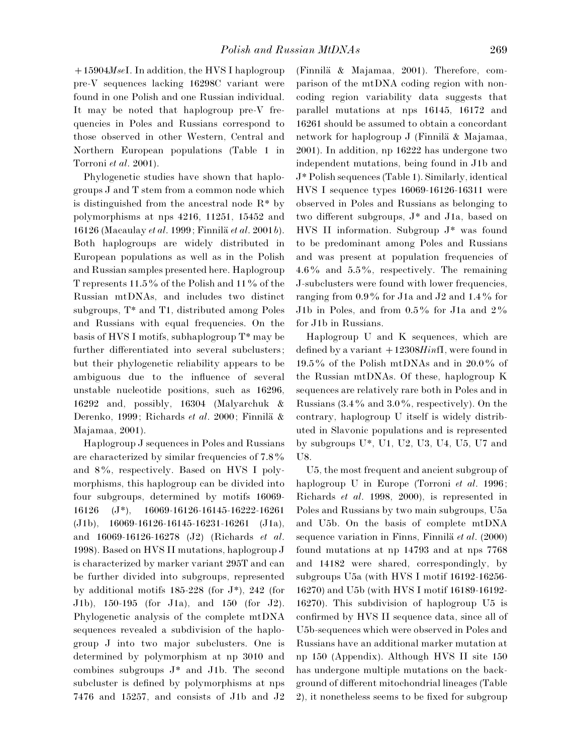15904*Mse*I. In addition, the HVS I haplogroup pre-V sequences lacking 16298C variant were found in one Polish and one Russian individual. It may be noted that haplogroup pre-V frequencies in Poles and Russians correspond to those observed in other Western, Central and Northern European populations (Table 1 in Torroni *et al*. 2001).

Phylogenetic studies have shown that haplogroups J and T stem from a common node which is distinguished from the ancestral node R\* by polymorphisms at nps 4216, 11251, 15452 and 16126 (Macaulay *et al.* 1999; Finnilä *et al.* 2001*b*). Both haplogroups are widely distributed in European populations as well as in the Polish and Russian samples presented here. Haplogroup T represents  $11.5\%$  of the Polish and  $11\%$  of the Russian mtDNAs, and includes two distinct subgroups, T\* and T1, distributed among Poles and Russians with equal frequencies. On the basis of HVS I motifs, subhaplogroup T\* may be further differentiated into several subclusters; but their phylogenetic reliability appears to be ambiguous due to the influence of several unstable nucleotide positions, such as 16296, 16292 and, possibly, 16304 (Malyarchuk & Derenko, 1999; Richards *et al.* 2000; Finnilä & Majamaa, 2001).

Haplogroup J sequences in Poles and Russians are characterized by similar frequencies of  $7.8\%$ and 8%, respectively. Based on HVS I polymorphisms, this haplogroup can be divided into four subgroups, determined by motifs 16069- 16126 (J\*), 16069-16126-16145-16222-16261 (J1b), 16069-16126-16145-16231-16261 (J1a), and 16069-16126-16278 (J2) (Richards *et al*. 1998). Based on HVS II mutations, haplogroup J is characterized by marker variant 295T and can be further divided into subgroups, represented by additional motifs 185-228 (for J\*), 242 (for J1b), 150-195 (for J1a), and 150 (for J2). Phylogenetic analysis of the complete mtDNA sequences revealed a subdivision of the haplogroup J into two major subclusters. One is determined by polymorphism at np 3010 and combines subgroups J\* and J1b. The second subcluster is defined by polymorphisms at nps 7476 and 15257, and consists of J1b and J2 (Finnilä  $& Majamaa, 2001$ ). Therefore, comparison of the mtDNA coding region with noncoding region variability data suggests that parallel mutations at nps 16145, 16172 and 16261 should be assumed to obtain a concordant network for haplogroup  $J$  (Finnilä & Majamaa, 2001). In addition, np 16222 has undergone two independent mutations, being found in J1b and J\* Polish sequences (Table 1). Similarly, identical HVS I sequence types 16069-16126-16311 were observed in Poles and Russians as belonging to two different subgroups, J\* and J1a, based on HVS II information. Subgroup J\* was found to be predominant among Poles and Russians and was present at population frequencies of  $4.6\%$  and  $5.5\%$ , respectively. The remaining J-subclusters were found with lower frequencies, ranging from  $0.9\%$  for J1a and J2 and 1.4% for J1b in Poles, and from  $0.5\%$  for J1a and  $2\%$ for J1b in Russians.

Haplogroup U and K sequences, which are defined by a variant  $+12308Hint$ , were found in  $19.5\%$  of the Polish mtDNAs and in  $20.0\%$  of the Russian mtDNAs. Of these, haplogroup K sequences are relatively rare both in Poles and in Russians  $(3.4\% \text{ and } 3.0\% \text{, respectively})$ . On the contrary, haplogroup U itself is widely distributed in Slavonic populations and is represented by subgroups U\*, U1, U2, U3, U4, U5, U7 and U8.

U5, the most frequent and ancient subgroup of haplogroup U in Europe (Torroni *et al*. 1996; Richards *et al*. 1998, 2000), is represented in Poles and Russians by two main subgroups, U5a and U5b. On the basis of complete mtDNA sequence variation in Finns, Finnilä *et al.* (2000) found mutations at np 14793 and at nps 7768 and 14182 were shared, correspondingly, by subgroups U5a (with HVS I motif 16192-16256- 16270) and U5b (with HVS I motif 16189-16192- 16270). This subdivision of haplogroup U5 is confirmed by HVS II sequence data, since all of U5b-sequences which were observed in Poles and Russians have an additional marker mutation at np 150 (Appendix). Although HVS II site 150 has undergone multiple mutations on the background of different mitochondrial lineages (Table 2), it nonetheless seems to be fixed for subgroup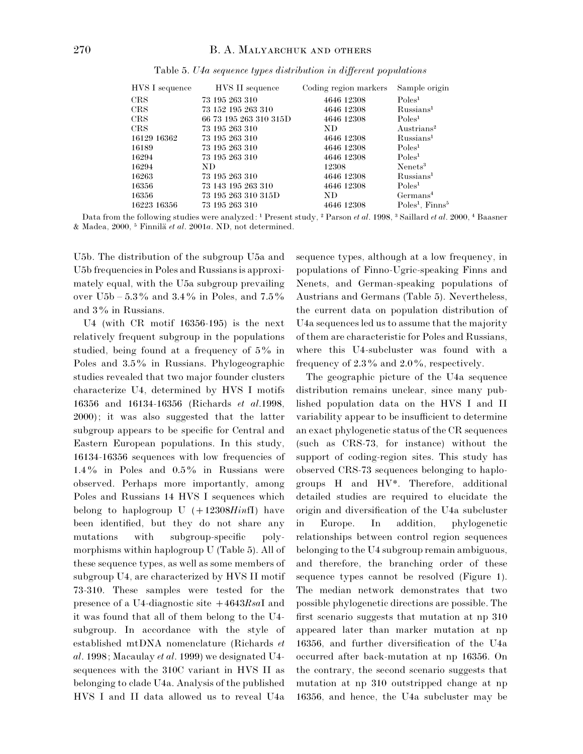| HVS I sequence | HVS II sequence        | Coding region markers | Sample origin                 |
|----------------|------------------------|-----------------------|-------------------------------|
| CRS            | 73 195 263 310         | 4646 12308            | Poles <sup>1</sup>            |
| CRS            | 73 152 195 263 310     | 4646 12308            | Russians <sup>1</sup>         |
| <b>CRS</b>     | 66 73 195 263 310 315D | 4646 12308            | Poles <sup>1</sup>            |
| CRS            | 73 195 263 310         | ND.                   | Austrians <sup>2</sup>        |
| 16129 16362    | 73 195 263 310         | 4646 12308            | Russians <sup>1</sup>         |
| 16189          | 73 195 263 310         | 4646 12308            | Poles <sup>1</sup>            |
| 16294          | 73 195 263 310         | 4646 12308            | Poles <sup>1</sup>            |
| 16294          | ND.                    | 12308                 | Nenets <sup>3</sup>           |
| 16263          | 73 195 263 310         | 4646 12308            | Russians <sup>1</sup>         |
| 16356          | 73 143 195 263 310     | 4646 12308            | Poles <sup>1</sup>            |
| 16356          | 73 195 263 310 315D    | ND.                   | Germans <sup>4</sup>          |
| 16223 16356    | 73 195 263 310         | 4646 12308            | $Poles1$ , Finns <sup>5</sup> |

Table 5. *U4a sequence types distribution in different populations*

Data from the following studies were analyzed: <sup>1</sup> Present study, <sup>2</sup> Parson *et al.* 1998, <sup>3</sup> Saillard *et al.* 2000, <sup>4</sup> Baasner & Madea, 2000, & Finnila\$ *et al*. 2001*a*. ND, not determined.

U5b. The distribution of the subgroup U5a and U5b frequencies in Poles and Russians is approximately equal, with the U5a subgroup prevailing over  $U5b - 5.3\%$  and  $3.4\%$  in Poles, and  $7.5\%$ and 3% in Russians.

U4 (with CR motif 16356-195) is the next relatively frequent subgroup in the populations studied, being found at a frequency of 5% in Poles and  $3.5\%$  in Russians. Phylogeographic studies revealed that two major founder clusters characterize U4, determined by HVS I motifs 16356 and 16134-16356 (Richards *et al*.1998, 2000); it was also suggested that the latter subgroup appears to be specific for Central and Eastern European populations. In this study, 16134-16356 sequences with low frequencies of 1.4% in Poles and  $0.5\%$  in Russians were observed. Perhaps more importantly, among Poles and Russians 14 HVS I sequences which belong to haplogroup  $U$   $(+12308Hint)$  have been identified, but they do not share any mutations with subgroup-specific polymorphisms within haplogroup U (Table 5). All of these sequence types, as well as some members of subgroup U4, are characterized by HVS II motif 73-310. These samples were tested for the presence of a U4-diagnostic site 4643*Rsa*I and it was found that all of them belong to the U4 subgroup. In accordance with the style of established mtDNA nomenclature (Richards *et al*. 1998; Macaulay *et al*. 1999) we designated U4 sequences with the 310C variant in HVS II as belonging to clade U4a. Analysis of the published HVS I and II data allowed us to reveal U4a

sequence types, although at a low frequency, in populations of Finno-Ugric-speaking Finns and Nenets, and German-speaking populations of Austrians and Germans (Table 5). Nevertheless, the current data on population distribution of U4a sequences led us to assume that the majority of them are characteristic for Poles and Russians, where this U4-subcluster was found with a frequency of  $2.3\%$  and  $2.0\%$ , respectively.

The geographic picture of the U4a sequence distribution remains unclear, since many published population data on the HVS I and II variability appear to be insufficient to determine an exact phylogenetic status of the CR sequences (such as CRS-73, for instance) without the support of coding-region sites. This study has observed CRS-73 sequences belonging to haplogroups H and HV\*. Therefore, additional detailed studies are required to elucidate the origin and diversification of the U4a subcluster in Europe. In addition, phylogenetic relationships between control region sequences belonging to the U4 subgroup remain ambiguous, and therefore, the branching order of these sequence types cannot be resolved (Figure 1). The median network demonstrates that two possible phylogenetic directions are possible. The first scenario suggests that mutation at np 310 appeared later than marker mutation at np 16356, and further diversification of the U4a occurred after back-mutation at np 16356. On the contrary, the second scenario suggests that mutation at np 310 outstripped change at np 16356, and hence, the U4a subcluster may be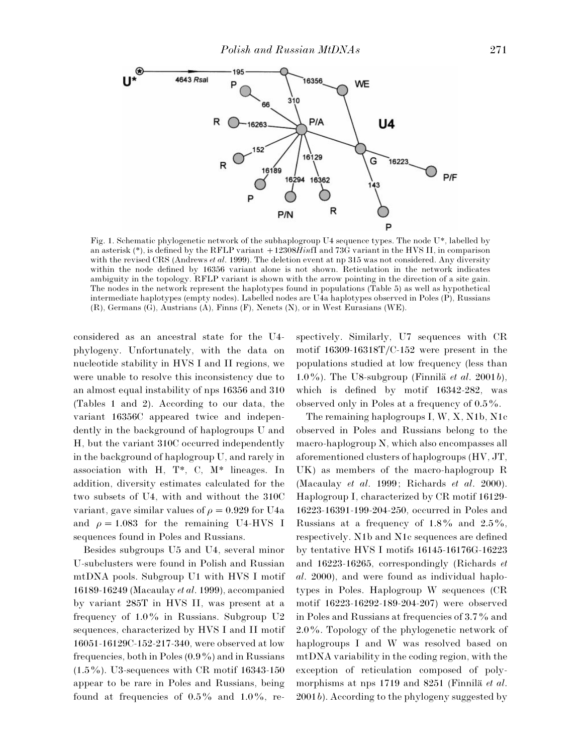

Fig. 1. Schematic phylogenetic network of the subhaplogroup U4 sequence types. The node U\*, labelled by an asterisk (\*), is defined by the RFLP variant 12308*Hin*fI and 73G variant in the HVS II, in comparison with the revised CRS (Andrews *et al*. 1999). The deletion event at np 315 was not considered. Any diversity within the node defined by 16356 variant alone is not shown. Reticulation in the network indicates ambiguity in the topology. RFLP variant is shown with the arrow pointing in the direction of a site gain. The nodes in the network represent the haplotypes found in populations (Table 5) as well as hypothetical intermediate haplotypes (empty nodes). Labelled nodes are U4a haplotypes observed in Poles (P), Russians (R), Germans (G), Austrians (A), Finns (F), Nenets (N), or in West Eurasians (WE).

considered as an ancestral state for the U4 phylogeny. Unfortunately, with the data on nucleotide stability in HVS I and II regions, we were unable to resolve this inconsistency due to an almost equal instability of nps 16356 and 310 (Tables 1 and 2). According to our data, the variant 16356C appeared twice and independently in the background of haplogroups U and H, but the variant 310C occurred independently in the background of haplogroup U, and rarely in association with H, T\*, C, M\* lineages. In addition, diversity estimates calculated for the two subsets of U4, with and without the 310C variant, gave similar values of  $\rho = 0.929$  for U4a and  $\rho = 1.083$  for the remaining U4-HVS I sequences found in Poles and Russians.

Besides subgroups U5 and U4, several minor U-subclusters were found in Polish and Russian mtDNA pools. Subgroup U1 with HVS I motif 16189-16249 (Macaulay *et al*. 1999), accompanied by variant 285T in HVS II, was present at a frequency of  $1.0\%$  in Russians. Subgroup U2 sequences, characterized by HVS I and II motif 16051-16129C-152-217-340, were observed at low frequencies, both in Poles  $(0.9\%)$  and in Russians  $(1.5\%)$ . U3-sequences with CR motif 16343-150 appear to be rare in Poles and Russians, being found at frequencies of  $0.5\%$  and  $1.0\%$ , respectively. Similarly, U7 sequences with CR motif  $16309-16318T/C-152$  were present in the populations studied at low frequency (less than 1.0%). The U8-subgroup (Finnilä *et al.* 2001*b*), which is defined by motif 16342-282, was observed only in Poles at a frequency of  $0.5\%$ .

The remaining haplogroups I, W, X, N1b, N1c observed in Poles and Russians belong to the macro-haplogroup N, which also encompasses all aforementioned clusters of haplogroups (HV, JT, UK) as members of the macro-haplogroup R (Macaulay *et al*. 1999; Richards *et al*. 2000). Haplogroup I, characterized by CR motif 16129- 16223-16391-199-204-250, occurred in Poles and Russians at a frequency of  $1.8\%$  and  $2.5\%$ , respectively. N1b and N1c sequences are defined by tentative HVS I motifs 16145-16176G-16223 and 16223-16265, correspondingly (Richards *et al*. 2000), and were found as individual haplotypes in Poles. Haplogroup W sequences (CR motif 16223-16292-189-204-207) were observed in Poles and Russians at frequencies of 3.7% and  $2.0\%$ . Topology of the phylogenetic network of haplogroups I and W was resolved based on mtDNA variability in the coding region, with the exception of reticulation composed of polymorphisms at nps 1719 and 8251 (Finnila *et al.*) 2001*b*). According to the phylogeny suggested by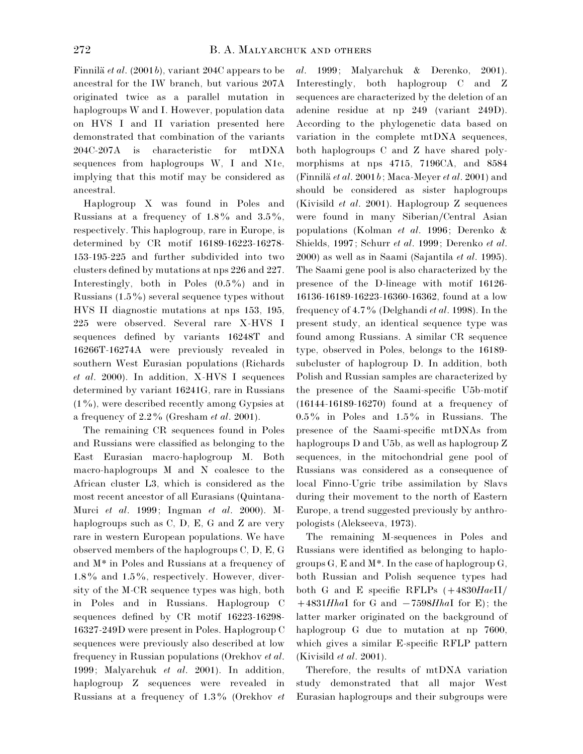Finnilä *et al.* (2001*b*), variant 204C appears to be ancestral for the IW branch, but various 207A originated twice as a parallel mutation in haplogroups W and I. However, population data on HVS I and II variation presented here demonstrated that combination of the variants 204C-207A is characteristic for mtDNA sequences from haplogroups W, I and N1c, implying that this motif may be considered as ancestral.

Haplogroup X was found in Poles and Russians at a frequency of  $1.8\%$  and  $3.5\%$ , respectively. This haplogroup, rare in Europe, is determined by CR motif 16189-16223-16278- 153-195-225 and further subdivided into two clusters defined by mutations at nps 226 and 227. Interestingly, both in Poles  $(0.5\%)$  and in Russians  $(1.5\%)$  several sequence types without HVS II diagnostic mutations at nps 153, 195, 225 were observed. Several rare X-HVS I sequences defined by variants 16248T and 16266T-16274A were previously revealed in southern West Eurasian populations (Richards *et al*. 2000). In addition, X-HVS I sequences determined by variant 16241G, rare in Russians  $(1\%)$ , were described recently among Gypsies at a frequency of 2±2% (Gresham *et al*. 2001).

The remaining CR sequences found in Poles and Russians were classified as belonging to the East Eurasian macro-haplogroup M. Both macro-haplogroups M and N coalesce to the African cluster L3, which is considered as the most recent ancestor of all Eurasians (Quintana-Murci *et al*. 1999; Ingman *et al*. 2000). Mhaplogroups such as C, D, E, G and Z are very rare in western European populations. We have observed members of the haplogroups C, D, E, G and M\* in Poles and Russians at a frequency of  $1.8\%$  and  $1.5\%$ , respectively. However, diversity of the M-CR sequence types was high, both in Poles and in Russians. Haplogroup C sequences defined by CR motif 16223-16298- 16327-249D were present in Poles. Haplogroup C sequences were previously also described at low frequency in Russian populations (Orekhov *et al*. 1999; Malyarchuk *et al*. 2001). In addition, haplogroup Z sequences were revealed in Russians at a frequency of 1±3% (Orekhov *et* *al*. 1999; Malyarchuk & Derenko, 2001). Interestingly, both haplogroup C and Z sequences are characterized by the deletion of an adenine residue at np 249 (variant 249D). According to the phylogenetic data based on variation in the complete mtDNA sequences, both haplogroups C and Z have shared polymorphisms at nps 4715, 7196CA, and 8584 (Finnila\$*et al*. 2001*b*; Maca-Meyer *et al*. 2001) and should be considered as sister haplogroups (Kivisild *et al*. 2001). Haplogroup Z sequences were found in many Siberian/Central Asian populations (Kolman *et al*. 1996; Derenko & Shields, 1997; Schurr *et al*. 1999; Derenko *et al*. 2000) as well as in Saami (Sajantila *et al*. 1995). The Saami gene pool is also characterized by the presence of the D-lineage with motif 16126- 16136-16189-16223-16360-16362, found at a low frequency of 4±7% (Delghandi *et al*. 1998). In the present study, an identical sequence type was found among Russians. A similar CR sequence type, observed in Poles, belongs to the 16189 subcluster of haplogroup D. In addition, both Polish and Russian samples are characterized by the presence of the Saami-specific U5b-motif (16144-16189-16270) found at a frequency of  $0.5\%$  in Poles and  $1.5\%$  in Russians. The presence of the Saami-specific mtDNAs from haplogroups D and U5b, as well as haplogroup Z sequences, in the mitochondrial gene pool of Russians was considered as a consequence of local Finno-Ugric tribe assimilation by Slavs during their movement to the north of Eastern Europe, a trend suggested previously by anthropologists (Alekseeva, 1973).

The remaining M-sequences in Poles and Russians were identified as belonging to haplogroups  $G$ ,  $E$  and  $M^*$ . In the case of haplogroup  $G$ , both Russian and Polish sequence types had both G and E specific RFLPs  $(+4830HaeH)$  $+4831HhaI$  for G and  $-7598HhaI$  for E); the latter marker originated on the background of haplogroup G due to mutation at np 7600, which gives a similar E-specific RFLP pattern (Kivisild *et al*. 2001).

Therefore, the results of mtDNA variation study demonstrated that all major West Eurasian haplogroups and their subgroups were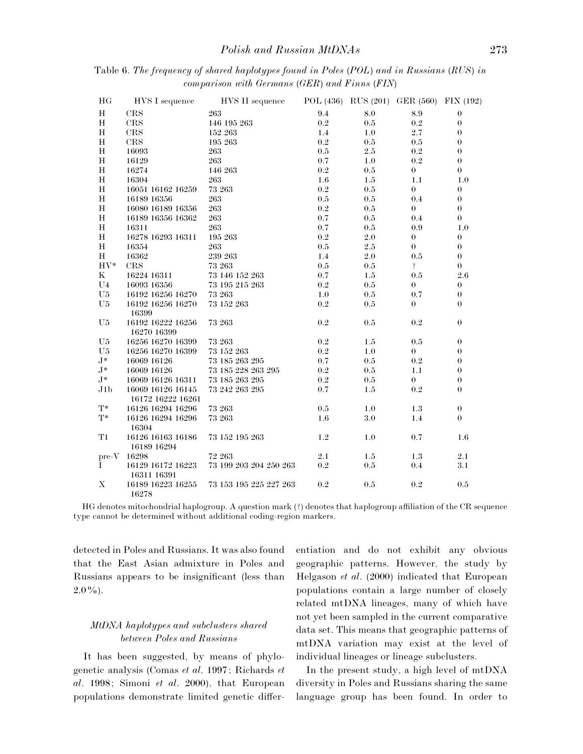| HG                               | HVS I sequence             | HVS II sequence        |           |         | POL (436) RUS (201) GER (560) FIN (192) |                  |
|----------------------------------|----------------------------|------------------------|-----------|---------|-----------------------------------------|------------------|
| Н                                | CRS                        | 263                    | 9.4       | 8.0     | 8.9                                     | $\theta$         |
| $\mathbf H$                      | CRS                        | 146 195 263            | 0.2       | 0.5     | $\rm 0.2$                               | $\theta$         |
| $\mathbf H$                      | $\rm{CRS}$                 | 152 263                | 1.4       | $1.0\,$ | 2.7                                     | $\theta$         |
| $\mathbf H$                      | <b>CRS</b>                 | 195 263                | 0.2       | 0.5     | 0.5                                     | $\theta$         |
| Η                                | 16093                      | 263                    | $0.5\,$   | $2.5\,$ | 0.2                                     | $\theta$         |
| $\mathbf H$                      | 16129                      | 263                    | 0.7       | 1.0     | 0.2                                     | $\boldsymbol{0}$ |
| $\mathbf H$                      | 16274                      | 146 263                | $\rm 0.2$ | 0.5     | $\overline{0}$                          | $\theta$         |
| Н                                | 16304                      | 263                    | 1.6       | 1.5     | 1.1                                     | 1.0              |
| Η                                | 16051 16162 16259          | 73 263                 | 0.2       | $0.5\,$ | $\boldsymbol{0}$                        | $\boldsymbol{0}$ |
| $\mathbf H$                      | 16189 16356                | 263                    | 0.5       | 0.5     | 0.4                                     | $\theta$         |
| $\mathbf H$                      | 16080 16189 16356          | 263                    | $\rm 0.2$ | 0.5     | $\theta$                                | $\theta$         |
| Η                                | 16189 16356 16362          | 263                    | 0.7       | 0.5     | 0.4                                     | $\overline{0}$   |
| H                                | 16311                      | 263                    | 0.7       | 0.5     | 0.9                                     | 1.0              |
| $\mathbf H$                      | 16278 16293 16311          | 195 263                | 0.2       | $2.0\,$ | $\boldsymbol{0}$                        | $\theta$         |
| $\mathbf H$                      | 16354                      | 263                    | 0.5       | 2.5     | $\theta$                                | $\theta$         |
| $\mathbf H$                      | 16362                      | 239 263                | 1.4       | $2.0\,$ | $0.5\,$                                 | $\theta$         |
| $HV^*$                           | CRS                        | 73 263                 | 0.5       | 0.5     | Ţ                                       | $\boldsymbol{0}$ |
| $\bf K$                          | 16224 16311                | 73 146 152 263         | 0.7       | 1.5     | 0.5                                     | $2.6\,$          |
| U <sub>4</sub>                   | 16093 16356                | 73 195 215 263         | 0.2       | 0.5     | $\theta$                                | $\theta$         |
| U <sub>5</sub>                   | 16192 16256 16270          | 73 263                 | 1.0       | $0.5\,$ | 0.7                                     | $\boldsymbol{0}$ |
| U5                               | 16192 16256 16270          | 73 152 263             | $\rm 0.2$ | 0.5     | $\boldsymbol{0}$                        | $\theta$         |
|                                  | 16399                      |                        |           |         |                                         |                  |
| U <sub>5</sub>                   | 16192 16222 16256          | 73 263                 | 0.2       | 0.5     | 0.2                                     | $\theta$         |
|                                  | 16270 16399                |                        |           |         |                                         |                  |
| U <sub>5</sub>                   | 16256 16270 16399          | 73 263                 | 0.2       | 1.5     | 0.5                                     | $\boldsymbol{0}$ |
| U <sub>5</sub>                   | 16256 16270 16399          | 73 152 263             | 0.2       | 1.0     | $\theta$                                | $\theta$         |
| $J^*$                            | 16069 16126                | 73 185 263 295         | 0.7       | $0.5\,$ | $\rm 0.2$                               | $\theta$         |
| $J^*$                            | 16069 16126                | 73 185 228 263 295     | 0.2       | 0.5     | 1.1                                     | $\theta$         |
| $J^*$                            | 16069 16126 16311          | 73 185 263 295         | 0.2       | 0.5     | $\mathbf{0}$                            | $\theta$         |
| J1 <sub>b</sub>                  | 16069 16126 16145          | 73 242 263 295         | 0.7       | 1.5     | 0.2                                     | $\boldsymbol{0}$ |
|                                  | 16172 16222 16261          |                        |           |         |                                         |                  |
| $T^*$                            | 16126 16294 16296          | 73 263                 | 0.5       | 1.0     | 1.3                                     | $\theta$         |
| $T^*$                            | 16126 16294 16296<br>16304 | 73 263                 | 1.6       | 3.0     | 1.4                                     | $\theta$         |
| T1                               | 16126 16163 16186          | 73 152 195 263         | 1.2       | 1.0     | 0.7                                     | 1.6              |
|                                  | 16189 16294                |                        |           |         |                                         |                  |
| $\mathrm{pre}\text{-}\mathrm{V}$ | 16298                      | 72 263                 | 2.1       | 1.5     | 1.3                                     | 2.1              |
| L                                | 16129 16172 16223          | 73 199 203 204 250 263 | $\rm 0.2$ | $0.5\,$ | 0.4                                     | 3.1              |
|                                  | 16311 16391                |                        |           |         |                                         |                  |
| $\mathbf X$                      | 16189 16223 16255<br>16278 | 73 153 195 225 227 263 | 0.2       | 0.5     | 0.2                                     | 0.5              |

Table 6. *The frequency of shared haplotypes found in Poles* (*POL*) *and in Russians* (*RUS*) *in comparison with Germans* (*GER*) *and Finns* (*FIN*)

HG denotes mitochondrial haplogroup. A question mark (?) denotes that haplogroup affiliation of the CR sequence type cannot be determined without additional coding-region markers.

detected in Poles and Russians. It was also found that the East Asian admixture in Poles and Russians appears to be insignificant (less than  $2.0\%$ ).

## *MtDNA haplotypes and subclusters shared between Poles and Russians*

It has been suggested, by means of phylogenetic analysis (Comas *et al*. 1997; Richards *et al*. 1998; Simoni *et al*. 2000), that European populations demonstrate limited genetic differentiation and do not exhibit any obvious geographic patterns. However, the study by Helgason *et al*. (2000) indicated that European populations contain a large number of closely related mtDNA lineages, many of which have not yet been sampled in the current comparative data set. This means that geographic patterns of mtDNA variation may exist at the level of individual lineages or lineage subclusters.

In the present study, a high level of mtDNA diversity in Poles and Russians sharing the same language group has been found. In order to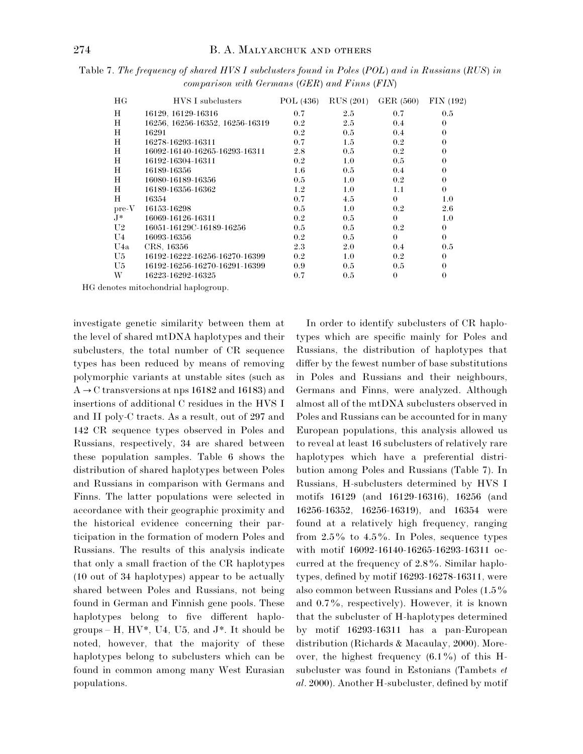Table 7. *The frequency of shared HVS I subclusters found in Poles* (*POL*) *and in Russians* (*RUS*) *in comparison with Germans* (*GER*) *and Finns* (*FIN*)

| HG             | <b>HVS</b> I subclusters        | POL (436) | <b>RUS</b> (201) | GER (560) | FIN(192) |
|----------------|---------------------------------|-----------|------------------|-----------|----------|
| Н              | 16129, 16129-16316              | 0.7       | 2.5              | 0.7       | 0.5      |
| Н              | 16256, 16256-16352, 16256-16319 | $0.2\,$   | 2.5              | 0.4       | $\theta$ |
| H              | 16291                           | 0.2       | 0.5              | 0.4       | $\theta$ |
| Ħ              | 16278-16293-16311               | 0.7       | 1.5              | 0.2       | $\theta$ |
| H              | 16092-16140-16265-16293-16311   | 2.8       | 0.5              | 0.2       | $\theta$ |
| H              | 16192-16304-16311               | 0.2       | 1.0              | 0.5       | $\theta$ |
| H              | 16189-16356                     | 1.6       | 0.5              | 0.4       | $\theta$ |
| H              | 16080-16189-16356               | 0.5       | 1.0              | 0.2       | $\theta$ |
| H              | 16189-16356-16362               | 1.2       | 1.0              | 1.1       | $\theta$ |
| H              | 16354                           | 0.7       | 4.5              | $\theta$  | 1.0      |
| $pre-V$        | 16153-16298                     | 0.5       | 1.0              | 0.2       | 2.6      |
| .J*            | 16069-16126-16311               | 0.2       | 0.5              | $\theta$  | 1.0      |
| U <sub>2</sub> | 16051-16129C-16189-16256        | 0.5       | 0.5              | 0.2       | $\theta$ |
| U4             | 16093-16356                     | 0.2       | 0.5              | $\theta$  | $\theta$ |
| U4a            | CRS, 16356                      | 2.3       | 2.0              | 0.4       | 0.5      |
| U <sub>5</sub> | 16192-16222-16256-16270-16399   | 0.2       | 1.0              | 0.2       | $\theta$ |
| U5             | 16192-16256-16270-16291-16399   | 0.9       | 0.5              | 0.5       | $\theta$ |
| W              | 16223-16292-16325               | 0.7       | 0.5              | $\theta$  | $\theta$ |

HG denotes mitochondrial haplogroup.

investigate genetic similarity between them at the level of shared mtDNA haplotypes and their subclusters, the total number of CR sequence types has been reduced by means of removing polymorphic variants at unstable sites (such as  $A \rightarrow C$  transversions at nps 16182 and 16183) and insertions of additional C residues in the HVS I and II poly-C tracts. As a result, out of 297 and 142 CR sequence types observed in Poles and Russians, respectively, 34 are shared between these population samples. Table 6 shows the distribution of shared haplotypes between Poles and Russians in comparison with Germans and Finns. The latter populations were selected in accordance with their geographic proximity and the historical evidence concerning their participation in the formation of modern Poles and Russians. The results of this analysis indicate that only a small fraction of the CR haplotypes (10 out of 34 haplotypes) appear to be actually shared between Poles and Russians, not being found in German and Finnish gene pools. These haplotypes belong to five different haplogroups – H,  $HV^*$ , U4, U5, and  $J^*$ . It should be noted, however, that the majority of these haplotypes belong to subclusters which can be found in common among many West Eurasian populations.

In order to identify subclusters of CR haplotypes which are specific mainly for Poles and Russians, the distribution of haplotypes that differ by the fewest number of base substitutions in Poles and Russians and their neighbours, Germans and Finns, were analyzed. Although almost all of the mtDNA subclusters observed in Poles and Russians can be accounted for in many European populations, this analysis allowed us to reveal at least 16 subclusters of relatively rare haplotypes which have a preferential distribution among Poles and Russians (Table 7). In Russians, H-subclusters determined by HVS I motifs 16129 (and 16129-16316), 16256 (and 16256-16352, 16256-16319), and 16354 were found at a relatively high frequency, ranging from  $2.5\%$  to  $4.5\%$ . In Poles, sequence types with motif 16092-16140-16265-16293-16311 occurred at the frequency of  $2.8\%$ . Similar haplotypes, defined by motif 16293-16278-16311, were also common between Russians and Poles  $(1.5\%$ and  $0.7\%$ , respectively). However, it is known that the subcluster of H-haplotypes determined by motif 16293-16311 has a pan-European distribution (Richards & Macaulay, 2000). Moreover, the highest frequency  $(6.1\%)$  of this Hsubcluster was found in Estonians (Tambets *et al*. 2000). Another H-subcluster, defined by motif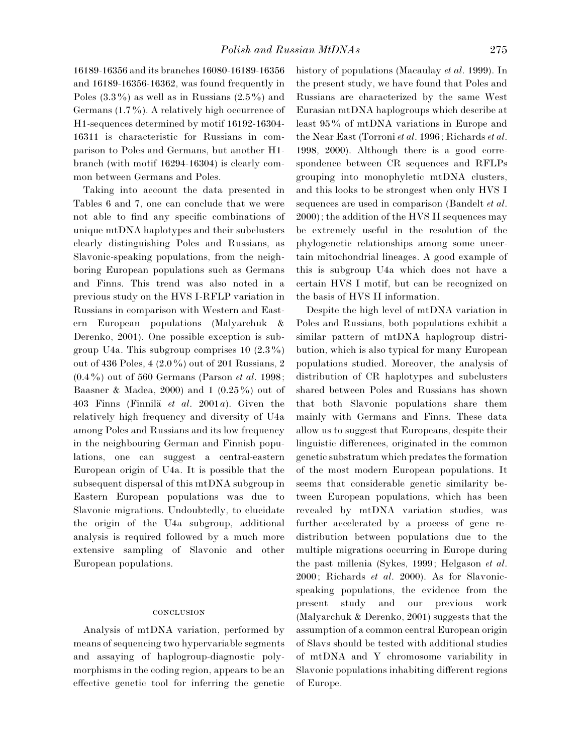16189-16356 and its branches 16080-16189-16356 and 16189-16356-16362, was found frequently in Poles  $(3.3\%)$  as well as in Russians  $(2.5\%)$  and Germans  $(1.7\%)$ . A relatively high occurrence of H1-sequences determined by motif 16192-16304- 16311 is characteristic for Russians in comparison to Poles and Germans, but another H1 branch (with motif 16294-16304) is clearly common between Germans and Poles.

Taking into account the data presented in Tables 6 and 7, one can conclude that we were not able to find any specific combinations of unique mtDNA haplotypes and their subclusters clearly distinguishing Poles and Russians, as Slavonic-speaking populations, from the neighboring European populations such as Germans and Finns. This trend was also noted in a previous study on the HVS I-RFLP variation in Russians in comparison with Western and Eastern European populations (Malyarchuk & Derenko, 2001). One possible exception is subgroup U4a. This subgroup comprises  $10$   $(2.3\%)$ out of 436 Poles, 4  $(2.0\%)$  out of 201 Russians, 2 (0±4%) out of 560 Germans (Parson *et al*. 1998; Baasner & Madea, 2000) and 1  $(0.25\%)$  out of 403 Finns (Finnila\$ *et al*. 2001*a*). Given the relatively high frequency and diversity of U4a among Poles and Russians and its low frequency in the neighbouring German and Finnish populations, one can suggest a central-eastern European origin of U4a. It is possible that the subsequent dispersal of this mtDNA subgroup in Eastern European populations was due to Slavonic migrations. Undoubtedly, to elucidate the origin of the U4a subgroup, additional analysis is required followed by a much more extensive sampling of Slavonic and other European populations.

#### **CONCLUSION**

Analysis of mtDNA variation, performed by means of sequencing two hypervariable segments and assaying of haplogroup-diagnostic polymorphisms in the coding region, appears to be an effective genetic tool for inferring the genetic history of populations (Macaulay *et al*. 1999). In the present study, we have found that Poles and Russians are characterized by the same West Eurasian mtDNA haplogroups which describe at least 95% of mtDNA variations in Europe and the Near East (Torroni *et al*. 1996; Richards *et al*. 1998, 2000). Although there is a good correspondence between CR sequences and RFLPs grouping into monophyletic mtDNA clusters, and this looks to be strongest when only HVS I sequences are used in comparison (Bandelt *et al*. 2000); the addition of the HVS II sequences may be extremely useful in the resolution of the phylogenetic relationships among some uncertain mitochondrial lineages. A good example of this is subgroup U4a which does not have a certain HVS I motif, but can be recognized on the basis of HVS II information.

Despite the high level of mtDNA variation in Poles and Russians, both populations exhibit a similar pattern of mtDNA haplogroup distribution, which is also typical for many European populations studied. Moreover, the analysis of distribution of CR haplotypes and subclusters shared between Poles and Russians has shown that both Slavonic populations share them mainly with Germans and Finns. These data allow us to suggest that Europeans, despite their linguistic differences, originated in the common genetic substratum which predates the formation of the most modern European populations. It seems that considerable genetic similarity between European populations, which has been revealed by mtDNA variation studies, was further accelerated by a process of gene redistribution between populations due to the multiple migrations occurring in Europe during the past millenia (Sykes, 1999; Helgason *et al*. 2000; Richards *et al*. 2000). As for Slavonicspeaking populations, the evidence from the present study and our previous work (Malyarchuk & Derenko, 2001) suggests that the assumption of a common central European origin of Slavs should be tested with additional studies of mtDNA and Y chromosome variability in Slavonic populations inhabiting different regions of Europe.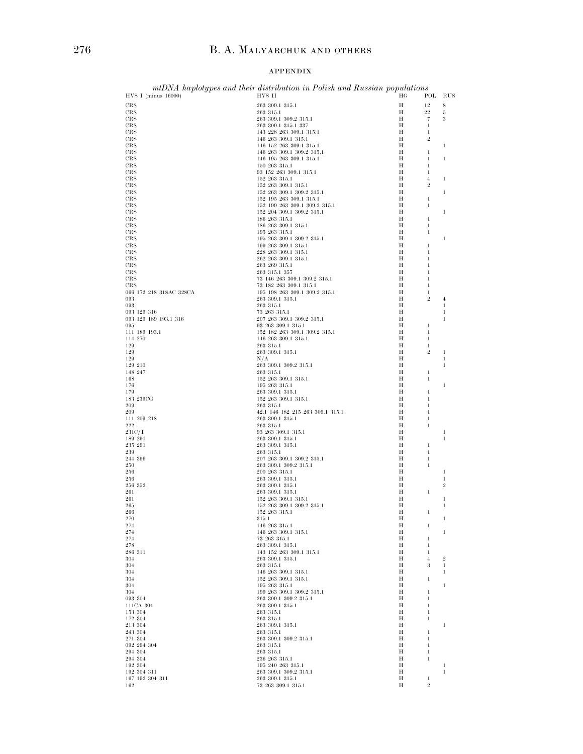### APPENDIX

| $HVS I$ (minus 16000)   | mtDNA haplotypes and their distribution in Polish and Russian populations<br>HVS II | ΗG     | POL                            | RUS              |
|-------------------------|-------------------------------------------------------------------------------------|--------|--------------------------------|------------------|
| CRS                     | 263 309.1 315.1                                                                     | Н      | 12                             | 8                |
| CRS                     | 263 315.1                                                                           | Н      | 22                             | 5                |
| CRS                     | 263 309.1 309.2 315.1                                                               | Н      | 7                              | $\boldsymbol{3}$ |
| $_{\rm CRS}$            | 263 309.1 315.1 337                                                                 | Н      | $\mathbf{1}$                   |                  |
| CRS                     | 143 228 263 309.1 315.1                                                             | Н      | $\mathbf{1}$                   |                  |
| CRS                     | 146 263 309.1 315.1                                                                 | Н      | $\overline{2}$                 |                  |
| CRS                     | 146 152 263 309.1 315.1                                                             | Н      |                                | 1                |
| CRS                     | 146 263 309.1 309.2 315.1                                                           | Н      | $\mathbf{1}$                   |                  |
| CRS                     | 146 195 263 309.1 315.1                                                             | Н<br>H | 1                              | 1                |
| CRS<br>CRS              | 150 263 315.1<br>93 152 263 309.1 315.1                                             | H      | $\mathbf{1}$<br>$\mathbf{1}$   |                  |
| CRS                     | 152 263 315.1                                                                       | Н      | $\overline{4}$                 | 1                |
| CRS                     | 152 263 309.1 315.1                                                                 | Н      | $\overline{2}$                 |                  |
| CRS                     | $152\ \ 263\ \ 309.1\ \ 309.2\ \ 315.1$                                             | Н      |                                | 1                |
| CRS                     | 152 195 263 309.1 315.1                                                             | Н      | 1                              |                  |
| CRS                     | 152 199 263 309.1 309.2 315.1                                                       | Η      | $\mathbf{1}$                   |                  |
| CRS                     | 152 204 309.1 309.2 315.1                                                           | H      |                                | $\mathbf{1}$     |
| CRS                     | 186 263 315.1                                                                       | Н      | 1                              |                  |
| CRS                     | 186 263 309.1 315.1                                                                 | Н      | $\mathbf{1}$                   |                  |
| CRS                     | 195 263 315.1                                                                       | Н      | $\mathbf{1}$                   |                  |
| CRS                     | 195 263 309.1 309.2 315.1                                                           | Н      |                                | 1                |
| CRS                     | 199 263 309.1 315.1                                                                 | H<br>H | 1                              |                  |
| CRS<br>CRS              | 228 263 309.1 315.1<br>262 263 309.1 315.1                                          | Н      | $\mathbf{1}$<br>1              |                  |
| CRS                     | 263 269 315.1                                                                       | Н      | 1                              |                  |
| CRS                     | 263 315.1 357                                                                       | Н      | 1                              |                  |
| CRS                     | 73 146 263 309.1 309.2 315.1                                                        | Н      | 1                              |                  |
| $_{\rm CRS}$            | 73 182 263 309.1 315.1                                                              | Н      | $\mathbf{1}$                   |                  |
| 066 172 218 318AC 328CA | 195 198 263 309.1 309.2 315.1                                                       | Н      | $\mathbf{1}$                   |                  |
| 093                     | 263 309.1 315.1                                                                     | Н      | $\overline{2}$                 | $\overline{4}$   |
| 093                     | 263 315.1                                                                           | Н      |                                | $\mathbf{1}$     |
| 093 129 316             | 73 263 315.1                                                                        | Н      |                                | $\mathbf{1}$     |
| 093 129 189 193.1 316   | 207 263 309.1 309.2 315.1                                                           | Н      |                                | 1                |
| 095                     | 93 263 309.1 315.1                                                                  | Η      | $\mathbf{1}$                   |                  |
| 111 189 193.1           | 152 182 263 309.1 309.2 315.1                                                       | H      | $\mathbf{1}$                   |                  |
| 114 270                 | 146 263 309.1 315.1                                                                 | Н<br>Н | 1                              |                  |
| 129<br>129              | 263 315.1<br>263 309.1 315.1                                                        | Н      | $\mathbf{1}$<br>$\overline{2}$ | -1               |
| 129                     | N/A                                                                                 | Н      |                                | 1                |
| 129 210                 | 263 309.1 309.2 315.1                                                               | Η      |                                | $\mathbf{1}$     |
| 148 247                 | 263 315.1                                                                           | H      | $\mathbf{1}$                   |                  |
| 168                     | 152 263 309.1 315.1                                                                 | Н      | 1                              |                  |
| 176                     | 195 263 315.1                                                                       | Н      |                                | 1                |
| 179                     | 263 309.1 315.1                                                                     | Н      | $\mathbf{1}$                   |                  |
| 183 239CG               | 152 263 309.1 315.1                                                                 | Н      | 1                              |                  |
| 209                     | 263 315.1                                                                           | H      | $\mathbf{1}$                   |                  |
| 209                     | 42.1 146 182 215 263 309.1 315.1                                                    | Н      | $\mathbf{1}$                   |                  |
| 111 209 218             | 263 309.1 315.1                                                                     | Н      | 1                              |                  |
| $2\sqrt{2}2$            | 263 315.1                                                                           | Н<br>Н | $\mathbf{1}$                   | $\mathbf{1}$     |
| 231C/T<br>189 291       | 93 263 309.1 315.1<br>263 309.1 315.1                                               | Н      |                                | 1                |
| 235 291                 | 263 309.1 315.1                                                                     | Н      | $\mathbf{1}$                   |                  |
| 239                     | 263 315.1                                                                           | Н      | $\mathbf{1}$                   |                  |
| 244 399                 | 207 263 309.1 309.2 315.1                                                           | Н      | 1                              |                  |
| 250                     | 263 309.1 309.2 315.1                                                               | Н      | $\mathbf{1}$                   |                  |
| 256                     | 200 263 315.1                                                                       | Н      |                                | -1               |
| 256                     | 263 309.1 315.1                                                                     | Н      |                                | 1                |
| 256 352                 | 263 309.1 315.1                                                                     | Н      |                                | $\overline{2}$   |
| 261                     | 263 309.1 315.1                                                                     | Н      | $\mathbf{1}$                   |                  |
| 261                     | 152 263 309.1 315.1                                                                 | Н      |                                | 1                |
| 265                     | 152 263 309.1 309.2 315.1                                                           | Н      |                                | $\mathbf{1}$     |
| 266<br>$270\,$          | 152 263 315.1                                                                       | Н<br>Н | 1                              |                  |
| 274                     | 315.1<br>146 263 315.1                                                              | Н      | 1                              | 1                |
| 274                     | 146 263 309.1 315.1                                                                 | Н      |                                | 1                |
| $\sqrt{274}$            | 73 263 315.1                                                                        | Н      | 1                              |                  |
| 278                     | 263 309.1 315.1                                                                     | Η      | 1                              |                  |
| 286 311                 | 143 152 263 309.1 315.1                                                             | Н      | $\mathbf{1}$                   |                  |
| 304                     | 263 309.1 315.1                                                                     | Н      | $\overline{4}$                 | $\overline{2}$   |
| 304                     | 263 315.1                                                                           | Η      | $\boldsymbol{3}$               | $\mathbf{1}$     |
| 304                     | 146 263 309.1 315.1                                                                 | Н      |                                | $\mathbf{1}$     |
| 304                     | 152 263 309.1 315.1                                                                 | Н      | 1                              |                  |
| 304                     | 195 263 315.1                                                                       | Н      |                                | 1                |
| 304                     | 199 263 309.1 309.2 315.1                                                           | Н      | $\mathbf{1}$                   |                  |
| 093 304                 | 263 309.1 309.2 315.1                                                               | Н      | 1                              |                  |
| 111CA 304               | 263 309.1 315.1                                                                     | Η      | $\mathbf{1}$                   |                  |
| 153 304<br>172 304      | 263 315.1<br>263 315.1                                                              | Н<br>Н | $\mathbf{1}$<br>1              |                  |
| 213 304                 | 263 309.1 315.1                                                                     | Н      |                                | $\mathbf{1}$     |
| 243 304                 | 263 315.1                                                                           | Н      | 1                              |                  |
| 271 304                 | 263 309.1 309.2 315.1                                                               | Н      | 1                              |                  |
| 092 294 304             | 263 315.1                                                                           | Η      | $\mathbf{1}$                   |                  |
| 294 304                 | 263 315.1                                                                           | Н      | $\mathbf{1}$                   |                  |
| 294 304                 | 236 263 315.1                                                                       | Н      | $\mathbf{1}$                   |                  |
| 192 304                 | 195 240 263 315.1                                                                   | Н      |                                | 1                |
| 192 304 311             | 263 309.1 309.2 315.1                                                               | Н      |                                | $\mathbf{1}$     |
| 167 192 304 311         | 263 309.1 315.1                                                                     | Н      | 1                              |                  |
| 162                     | 73 263 309.1 315.1                                                                  | Н      | $\,2$                          |                  |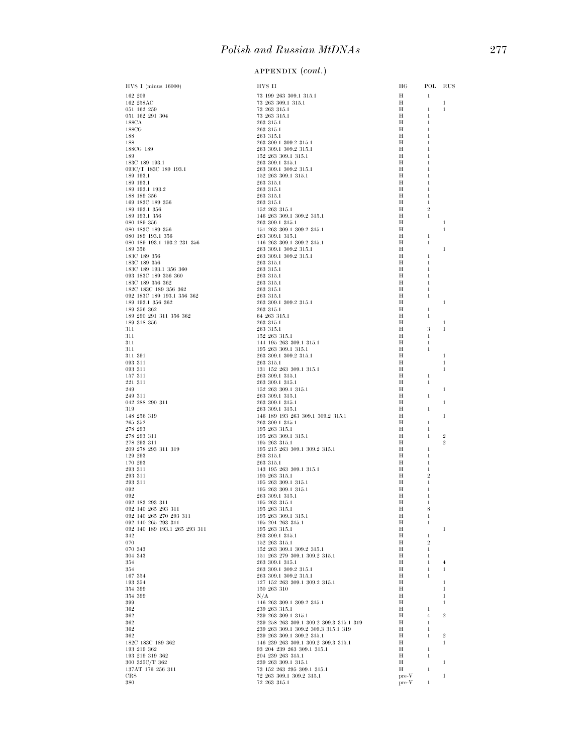| HVS I (minus 16000)                                  | HVS II                                                           | ΗG      | POL RUS                      |                   |
|------------------------------------------------------|------------------------------------------------------------------|---------|------------------------------|-------------------|
| 162 209                                              | 73 199 263 309.1 315.1                                           | Н       | $\mathbf{1}$                 |                   |
| 162 258AC<br>051 162 259                             | 73 263 309.1 315.1<br>73 263 315.1                               | Н<br>Н  | 1                            | 1<br>$\mathbf{1}$ |
| 051 162 291 304                                      | 73 263 315.1                                                     | Н       | 1                            |                   |
| 188CA                                                | 263 315.1                                                        | Н       | 1                            |                   |
| 188CG                                                | 263 315.1                                                        | Н<br>Н  |                              |                   |
| 188<br>188                                           | 263 315.1<br>263 309.1 309.2 315.1                               | Н       |                              |                   |
| 188CG 189                                            | 263 309.1 309.2 315.1                                            | Н       |                              |                   |
| 189                                                  | 152 263 309.1 315.1                                              | Н       |                              |                   |
| 183C 189 193.1<br>093C/T 183C 189 193.1              | 263 309.1 315.1<br>263 309.1 309.2 315.1                         | Н<br>Н  |                              |                   |
| 189 193.1                                            | 152 263 309.1 315.1                                              | Н       |                              |                   |
| 189 193.1                                            | 263 315.1                                                        | Н       | 1                            |                   |
| 189 193.1 193.2<br>188 189 356                       | 263 315.1<br>263 315.1                                           | Н<br>Н  | 1<br>1                       |                   |
| 169 183C 189 356                                     | 263 315.1                                                        | Н       | 1                            |                   |
| 189 193.1 356                                        | 152 263 315.1                                                    | Н       | 2                            |                   |
| 189 193.1 356                                        | 146 263 309.1 309.2 315.1                                        | Н<br>Н  | 1                            | -1                |
| 080 189 356<br>080 183C 189 356                      | 263 309.1 315.1<br>151 263 309.1 309.2 315.1                     | Н       |                              | $\mathbf{1}$      |
| 080 189 193.1 356                                    | 263 309.1 315.1                                                  | Н       | 1                            |                   |
| 080 189 193.1 193.2 231 356                          | 146 263 309.1 309.2 315.1                                        | Н       | 1                            |                   |
| 189 356<br>183C 189 356                              | 263 309.1 309.2 315.1<br>263 309.1 309.2 315.1                   | Н<br>Н  | 1                            | 1                 |
| 183C 189 356                                         | 263 315.1                                                        | Н       | 1                            |                   |
| 183C 189 193.1 356 360                               | 263 315.1                                                        | Н       | 1                            |                   |
| 093 183C 189 356 360<br>183C 189 356 362             | 263 315.1<br>263 315.1                                           | Н<br>Н  | 1<br>1                       |                   |
| 182C 183C 189 356 362                                | 263 315.1                                                        | Н       | 1                            |                   |
| 092 183C 189 193.1 356 362                           | 263 315.1                                                        | Н       | 1                            |                   |
| 189 193.1 356 362<br>189 356 362                     | 263 309.1 309.2 315.1<br>263 315.1                               | Н<br>Н  |                              | 1                 |
| 189 290 291 311 356 362                              | 64 263 315.1                                                     | Н       | 1<br>1                       |                   |
| 189 318 356                                          | 263 315.1                                                        | Н       |                              | $\mathbf{1}$      |
| 311                                                  | 263 315.1                                                        | Н       | 3                            | 1                 |
| 311<br>311                                           | 152 263 315.1<br>144 195 263 309.1 315.1                         | Н<br>Н  | 1<br>1                       |                   |
| 311                                                  | 195 263 309.1 315.1                                              | Н       | 1                            |                   |
| 311 391                                              | 263 309.1 309.2 315.1                                            | Н       |                              | -1                |
| 093 311<br>093 311                                   | 263 315.1<br>131 152 263 309.1 315.1                             | Н<br>Н  |                              | $\mathbf{1}$<br>1 |
| 157 311                                              | 263 309.1 315.1                                                  | Н       | 1                            |                   |
| 221 311                                              | 263 309.1 315.1                                                  | Н       | $\mathbf{1}$                 |                   |
| 249<br>249 311                                       | 152 263 309.1 315.1<br>263 309.1 315.1                           | Н<br>Н  | 1                            | 1                 |
| 042 288 290 311                                      | 263 309.1 315.1                                                  | Н       |                              | $\mathbf{1}$      |
| 319                                                  | 263 309.1 315.1                                                  | Н       | 1                            |                   |
| 148 256 319<br>$265\, \, 352$                        | 146 189 193 263 309.1 309.2 315.1<br>263 309.1 315.1             | Н<br>Н  | 1                            | -1                |
| 278 293                                              | 195 263 315.1                                                    | Н       | 1                            |                   |
| 278 293 311                                          | 195 263 309.1 315.1                                              | Н       | 1                            | $\overline{2}$    |
| 278 293 311<br>209 278 293 311 319                   | 195 263 315.1<br>195 215 263 309.1 309.2 315.1                   | Н<br>Н  | 1                            | $\overline{2}$    |
| 129 293                                              | 263 315.1                                                        | Н       | 1                            |                   |
| 170 293                                              | 263 315.1                                                        | Н       | 1                            |                   |
| 293 311<br>293 311                                   | 143 195 263 309.1 315.1<br>195 263 315.1                         | Н<br>Н  | 1<br>$\overline{\mathbf{2}}$ |                   |
| 293 311                                              | 195 263 309.1 315.1                                              | Н       | 1                            |                   |
| 092                                                  | 195 263 309.1 315.1                                              | Н       |                              |                   |
| 092<br>092 183 293 311                               | 263 309.1 315.1<br>195 263 315.1                                 | Н<br>Н  | 1                            |                   |
| 092 140 265 293 311                                  | 195 263 315.1                                                    | Н       | 8                            |                   |
| 092 140 265 270 293 311                              | 195 263 309.1 315.1                                              | Н       | 1                            |                   |
| 092 140 265 293 311<br>092 140 189 193.1 265 293 311 | 195 204 263 315.1<br>195 263 315.1                               | Н<br>Н  | $\mathbf{1}$                 | 1                 |
| 342                                                  | 263 309.1 315.1                                                  | Н       | 1                            |                   |
| 070                                                  | 152 263 315.1                                                    | Н       | $\overline{2}$               |                   |
| 070 343<br>304 343                                   | 152 263 309.1 309.2 315.1<br>151 263 279 309.1 309.2 315.1       | Н<br>Н  | 1<br>1                       |                   |
| 354                                                  | 263 309.1 315.1                                                  | Н       | $\mathbf{1}$                 | $\overline{4}$    |
| 354                                                  | 263 309.1 309.2 315.1                                            | Н       | 1                            | 1                 |
| 167 354<br>193 354                                   | 263 309.1 309.2 315.1<br>127 152 263 309.1 309.2 315.1           | Н<br>Н  | $\mathbf{1}$                 | $\mathbf{1}$      |
| 354 399                                              | 150 263 310                                                      | Н       |                              | $\mathbf{1}$      |
| 354 399                                              | N/A                                                              | Н       |                              | 1                 |
| 399<br>362                                           | 146 263 309.1 309.2 315.1<br>239 263 315.1                       | Н<br>Н  | 1                            | $\mathbf{1}$      |
| 362                                                  | 239 263 309.1 315.1                                              | Н       | 4                            | $\overline{2}$    |
| 362                                                  | 239 258 263 309.1 309.2 309.3 315.1 319                          | Н       | 1                            |                   |
| 362<br>362                                           | 239 263 309.1 309.2 309.3 315.1 319<br>239 263 309.1 309.2 315.1 | Н<br>Н  | 1<br>$\mathbf{1}$            | $\overline{2}$    |
| 182C 183C 189 362                                    | 146 239 263 309.1 309.2 309.3 315.1                              | Н       |                              | $\mathbf{1}$      |
| 193 219 362                                          | 93 204 239 263 309.1 315.1                                       | Н       | $\mathbf{1}$                 |                   |
| 193 219 319 362<br>300 325C/T 362                    | 204 239 263 315.1<br>239 263 309.1 315.1                         | Н<br>Н  | 1                            | $\mathbf{1}$      |
| 137AT 176 256 311                                    | 73 152 263 295 309.1 315.1                                       | Н       | 1                            |                   |
| $_{\rm CRS}$                                         | 72 263 309.1 309.2 315.1                                         | $pre-V$ |                              | $\mathbf{1}$      |
| 380                                                  | 72 263 315.1                                                     | $pre-V$ | $\mathbf{1}$                 |                   |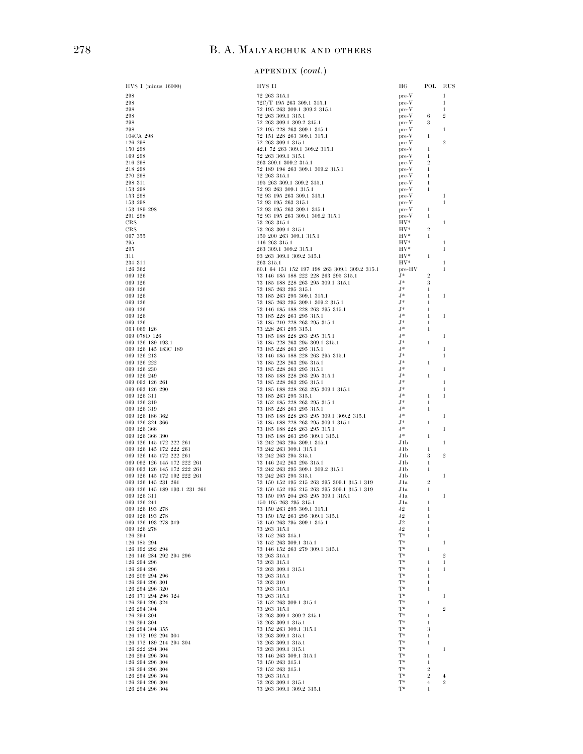# 278 B. A. MALYARCHUK AND OTHERS

# (*cont*.)

| HVS I (minus 16000)                    | HVS II                                                                                                                                                                                                                                        | НG                      | POL RUS             |                |
|----------------------------------------|-----------------------------------------------------------------------------------------------------------------------------------------------------------------------------------------------------------------------------------------------|-------------------------|---------------------|----------------|
| 298                                    | 72 263 315.1                                                                                                                                                                                                                                  | $pre-V$                 |                     | $\mathbf{1}$   |
| 298                                    | $72C/T$ 195 263 309.1 315.1<br>$72 \t195$ 263 309.1 309.2 315.1                                                                                                                                                                               | $pre-V$                 |                     | $\mathbf{1}$   |
| 298<br>298                             |                                                                                                                                                                                                                                               | $pre-V$<br>$pre-V$      | $-6$                | 1<br>9.        |
| 298                                    | 72 195 263 309.1 302.2<br>72 263 309.1 315.1<br>72 263 309.1 315.1<br>72 195 228 263 309.1 315.1<br>72 151 228 263 309.1 315.1<br>72 151 228 263 309.1 315.1<br>73 362 309.1 315.1                                                            | $pre-V$                 | 3                   |                |
| 298                                    |                                                                                                                                                                                                                                               | $pre-V$                 |                     | 1              |
| 104CA 298                              |                                                                                                                                                                                                                                               | $pre-V$                 | 1                   |                |
| 126 298                                |                                                                                                                                                                                                                                               | $pre-V$                 |                     | $\overline{2}$ |
| 150 298                                | $\begin{array}{l} 42.1 \ 72 \ 263 \ 309.1 \ 309.2 \ 315.1 \\ 72 \ 263 \ 309.1 \ 315.1 \\ 263 \ 309.1 \ 309.2 \ 315.1 \end{array}$                                                                                                             | $pre-V$                 | 1                   |                |
| 169 298<br>$216\ \ 298$                |                                                                                                                                                                                                                                               | $pre-V$<br>$pre-V$      | 1<br>$\overline{2}$ |                |
| $218\,298$                             |                                                                                                                                                                                                                                               | $pre-V$                 | 1                   |                |
| 270 298                                | 263 300.1 309.2 315.1<br>72 189 194 263 309.1 309.2 315.1<br>72 263 315.1<br>195 263 309.1 309.2 315.1<br>72 33 363 309.1 315.1<br>72 33 165 263 309.1 315.1<br>72 33 165 263 309.1 315.1<br>72 33 165 263 309.1 315.1<br>72 33 165 263 309.1 | $pre-V$                 | 1                   |                |
| 298 311                                |                                                                                                                                                                                                                                               | $pre-V$                 | -1                  |                |
| 153 298                                |                                                                                                                                                                                                                                               | $pre-V$                 | -1                  |                |
| 153 298                                |                                                                                                                                                                                                                                               | $pre-V$                 |                     | -1             |
| 153 298<br>153 189 298                 |                                                                                                                                                                                                                                               | $pre-V$<br>$pre-V$      | 1                   | 1              |
| 291 298                                |                                                                                                                                                                                                                                               | $pre-V$                 | $\mathbf{1}$        |                |
| $_{\rm CRS}$                           |                                                                                                                                                                                                                                               | $\rm{HV^*}$             |                     | -1             |
| CRS                                    |                                                                                                                                                                                                                                               | HV*                     | $\overline{2}$      |                |
| $067\ \ 355$                           |                                                                                                                                                                                                                                               | $\rm{HV^*}$             | $\mathbf{1}$        |                |
| 295                                    |                                                                                                                                                                                                                                               | $HV^*$                  |                     | 1              |
| 295<br>311                             |                                                                                                                                                                                                                                               | $_{\rm HV^*}^{\rm HV*}$ | $\mathbf{1}$        | -1             |
| 234 311                                |                                                                                                                                                                                                                                               | $\rm{HV^*}$             |                     | -1             |
| 126 362                                | 60.1 64 151 152 197 198 263 309.1 309.2 315.1 pre-HV                                                                                                                                                                                          |                         |                     |                |
| 069 126                                | 73 146 185 188 222 228 263 295 315.1                                                                                                                                                                                                          | $J^*$                   | $\overline{2}$      |                |
|                                        |                                                                                                                                                                                                                                               |                         | 3                   |                |
|                                        |                                                                                                                                                                                                                                               |                         | 1                   |                |
|                                        |                                                                                                                                                                                                                                               |                         | 1<br>$\mathbf{1}$   | 1              |
|                                        |                                                                                                                                                                                                                                               |                         | 1                   |                |
|                                        |                                                                                                                                                                                                                                               |                         | $\mathbf{1}$        | -1             |
|                                        |                                                                                                                                                                                                                                               |                         | 1                   |                |
|                                        |                                                                                                                                                                                                                                               |                         | $\mathbf{1}$        |                |
|                                        |                                                                                                                                                                                                                                               |                         |                     | -1             |
|                                        |                                                                                                                                                                                                                                               |                         | $\mathbf{1}$        |                |
|                                        |                                                                                                                                                                                                                                               |                         |                     | -1<br>1        |
|                                        |                                                                                                                                                                                                                                               |                         | -1                  |                |
|                                        |                                                                                                                                                                                                                                               |                         |                     | 1              |
|                                        |                                                                                                                                                                                                                                               |                         | $\mathbf{1}$        |                |
|                                        |                                                                                                                                                                                                                                               |                         |                     | -1             |
|                                        |                                                                                                                                                                                                                                               |                         |                     | 1              |
|                                        |                                                                                                                                                                                                                                               |                         | $\mathbf{1}$<br>1   | -1             |
|                                        |                                                                                                                                                                                                                                               |                         | $\mathbf{1}$        |                |
|                                        |                                                                                                                                                                                                                                               |                         |                     | -1             |
|                                        |                                                                                                                                                                                                                                               |                         | 1                   |                |
|                                        |                                                                                                                                                                                                                                               |                         |                     | 1              |
|                                        |                                                                                                                                                                                                                                               |                         | 1                   |                |
|                                        |                                                                                                                                                                                                                                               |                         | 1                   | 1              |
|                                        |                                                                                                                                                                                                                                               |                         | 3                   | 9.             |
|                                        |                                                                                                                                                                                                                                               |                         | 1                   |                |
|                                        |                                                                                                                                                                                                                                               |                         | 1                   |                |
|                                        |                                                                                                                                                                                                                                               |                         |                     | 1              |
|                                        |                                                                                                                                                                                                                                               |                         | $\overline{2}$      |                |
|                                        |                                                                                                                                                                                                                                               |                         | $\mathbf{1}$        | 1              |
|                                        |                                                                                                                                                                                                                                               |                         | -1                  |                |
|                                        |                                                                                                                                                                                                                                               |                         | 1                   |                |
| 069 126 193 278                        | 73 150 152 263 295 309.1 315.1                                                                                                                                                                                                                | $_{\rm J2}$             | 1                   |                |
| 069 126 193 278 319                    | 73 150 263 295 309.1 315.1                                                                                                                                                                                                                    | J2                      | 1                   |                |
| 069 126 278                            | 73 263 315.1                                                                                                                                                                                                                                  | J2                      | 1                   |                |
| 126 294                                | 73 152 263 315.1                                                                                                                                                                                                                              | T*                      | 1                   |                |
| 126 185 294<br>126 192 292 294         | 73 152 263 309.1 315.1<br>73 146 152 263 279 309.1 315.1                                                                                                                                                                                      | T*<br>T*                | 1                   | 1              |
| 126 146 284 292 294 296                | 73 263 315.1                                                                                                                                                                                                                                  | $T^*$                   |                     | $\overline{2}$ |
| 126 294 296                            | 73 263 315.1                                                                                                                                                                                                                                  | T*                      | 1                   | $\mathbf{1}$   |
| 126 294 296                            | 73 263 309.1 315.1                                                                                                                                                                                                                            | T*                      | 1                   | 1              |
| 126 209 294 296                        | 73 263 315.1                                                                                                                                                                                                                                  | $T^*$                   | 1                   |                |
| 126 294 296 301                        | 73 263 310                                                                                                                                                                                                                                    | $T^*$                   | $\mathbf{1}$        |                |
| 126 294 296 320                        | 73 263 315.1                                                                                                                                                                                                                                  | T*                      | 1                   |                |
| 126 171 294 296 324<br>126 294 296 324 | 73 263 315.1<br>73 152 263 309.1 315.1                                                                                                                                                                                                        | $T^*$<br>$T^*$          | 1                   | 1              |
| 126 294 304                            | 73 263 315.1                                                                                                                                                                                                                                  | $T^*$                   |                     | $\overline{2}$ |
| 126 294 304                            | 73 263 309.1 309.2 315.1                                                                                                                                                                                                                      | $T^*$                   | 1                   |                |
| 126 294 304                            | 73 263 309.1 315.1                                                                                                                                                                                                                            | $T^*$                   | $\mathbf{1}$        |                |
| 126 294 304 355<br>126 172 192 294 304 | 73 152 263 309.1 315.1                                                                                                                                                                                                                        | T*                      | 3                   |                |
|                                        | 73 263 309.1 315.1                                                                                                                                                                                                                            | $T^*$                   | 1                   |                |
| 126 172 189 214 294 304                | 73 263 309.1 315.1                                                                                                                                                                                                                            | $T^*$                   | $\mathbf{1}$        |                |
| 126 222 294 304<br>126 294 296 304     | 73 263 309.1 315.1<br>73 146 263 309.1 315.1                                                                                                                                                                                                  | T*<br>$T^*$             | 1                   | 1              |
| 126 294 296 304                        | 73 150 263 315.1                                                                                                                                                                                                                              | $T^*$                   | 1                   |                |
| 126 294 296 304                        | 73 152 263 315.1                                                                                                                                                                                                                              | T*                      | $\overline{2}$      |                |
| 126 294 296 304                        | 73 263 315.1                                                                                                                                                                                                                                  | $T^*$                   | $\overline{2}$      | 4              |
| 126 294 296 304                        | 73 263 309.1 315.1                                                                                                                                                                                                                            | $T^*$                   | $\overline{4}$      | $\overline{2}$ |
| 126 294 296 304                        | 73 263 309.1 309.2 315.1                                                                                                                                                                                                                      | $T^*$                   | 1                   |                |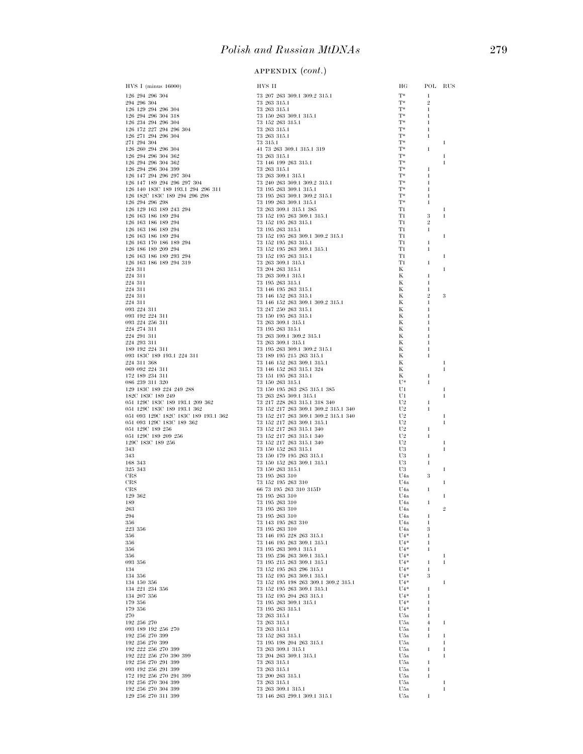|                                                |                                                                    | ΗG                               | POL RUS                      |              |
|------------------------------------------------|--------------------------------------------------------------------|----------------------------------|------------------------------|--------------|
|                                                |                                                                    | $T^*$                            | $\mathbf{1}$                 |              |
|                                                |                                                                    | $T^*$                            | $\overline{2}$               |              |
|                                                |                                                                    | $T^*$<br>$T^*$                   | $\mathbf{1}$<br>1            |              |
|                                                |                                                                    | $T^*$                            | $\mathbf{1}$                 |              |
|                                                |                                                                    | $T^*$<br>$T^*$                   | $\mathbf{1}$                 |              |
|                                                |                                                                    | T*                               | 1                            | 1            |
|                                                |                                                                    | T*                               | $\mathbf{1}$                 |              |
|                                                |                                                                    | T*<br>$T^*$                      |                              | 1            |
|                                                |                                                                    | $T^*$                            | 1                            | 1            |
|                                                |                                                                    | $T^*$                            | 1                            |              |
|                                                |                                                                    | $T^*$<br>T*                      | $\mathbf{1}$<br>$\mathbf{1}$ |              |
|                                                |                                                                    | $T^*$                            | 1                            |              |
|                                                |                                                                    | T*                               | $\mathbf{1}$                 |              |
|                                                |                                                                    | T1<br>T1                         | 3                            | -1<br>1      |
|                                                |                                                                    | T1                               | $\overline{2}$               |              |
|                                                |                                                                    | T1                               | $\mathbf{1}$                 |              |
|                                                |                                                                    | T1<br>T1                         | 1                            | 1            |
|                                                |                                                                    | T1                               | 1                            |              |
|                                                |                                                                    | T1                               |                              | 1            |
|                                                |                                                                    | T1<br>К                          | 1                            | 1            |
|                                                |                                                                    | К                                | 1                            |              |
|                                                |                                                                    | Κ                                | 1                            |              |
|                                                |                                                                    | К<br>К                           | 1<br>$\overline{2}$          | 3            |
|                                                |                                                                    | К                                | 1                            |              |
|                                                |                                                                    | K<br>К                           | $\mathbf{1}$                 |              |
|                                                |                                                                    | Κ                                |                              |              |
|                                                |                                                                    | К                                |                              |              |
|                                                |                                                                    | Κ<br>Κ                           | 1                            |              |
|                                                |                                                                    | K                                | 1                            |              |
|                                                |                                                                    | К                                | 1                            |              |
|                                                |                                                                    | Κ<br>K                           |                              | 1<br>1       |
|                                                |                                                                    | Κ                                | 1                            |              |
|                                                |                                                                    | U*                               | $\mathbf{1}$                 |              |
|                                                |                                                                    | U1<br>U1                         |                              | -1<br>1      |
|                                                |                                                                    | U2                               | 1                            |              |
|                                                |                                                                    | U <sub>2</sub><br>U <sub>2</sub> | 1                            | 1            |
|                                                |                                                                    | U <sub>2</sub>                   |                              | 1            |
|                                                |                                                                    | U2                               | 1                            |              |
|                                                |                                                                    | U2<br>U <sub>2</sub>             | 1                            | 1            |
|                                                |                                                                    | U3                               |                              | 1            |
|                                                |                                                                    | U3<br>U3                         | 1<br>$\mathbf{1}$            |              |
|                                                |                                                                    | U3                               |                              | 1            |
|                                                |                                                                    | U4a                              | 3                            |              |
| CRS<br>CRS                                     | 73 152 195 263 310<br>66 73 195 263 310 315D                       | U4a<br>U4a                       | 1                            | 1            |
| 129 362                                        | 73 195 263 310                                                     | U4a                              |                              | 1            |
| 189<br>263                                     | 73 195 263 310<br>73 195 263 310                                   | U <sub>4</sub> a<br>U4a          | 1                            | 2            |
| 294                                            | 73 195 263 310                                                     | U4a                              | 1                            |              |
| 356                                            | 73 143 195 263 310                                                 | U <sub>4</sub> a                 | $\mathbf{1}$                 |              |
| 223 356<br>356                                 | 73 195 263 310<br>73 146 195 228 263 315.1                         | U <sub>4a</sub><br>$U4*$         | 3<br>1                       |              |
| 356                                            | 73 146 195 263 309.1 315.1                                         | $U4*$                            | $\mathbf{1}$                 |              |
| 356                                            | 73 195 263 309.1 315.1                                             | $U4*$                            | $\mathbf{1}$                 |              |
| 356<br>093 356                                 | 73 195 236 263 309.1 315.1<br>73 195 215 263 309.1 315.1           | $U4*$<br>$U4*$                   | 1                            | 1<br>1       |
| 134                                            | 73 152 195 263 296 315.1                                           | $U4*$                            | $\mathbf{1}$                 |              |
| 134 356<br>134 150 356                         | 73 152 195 263 309.1 315.1<br>73 152 195 198 263 309.1 309.2 315.1 | $U4*$<br>$U4*$                   | 3                            | 1            |
| 134 221 234 356                                | 73 152 195 263 309.1 315.1                                         | $U4*$                            | 1                            |              |
| 134 207 356                                    | 73 152 195 204 263 315.1                                           | $U4*$                            | 1                            |              |
| 179 356<br>179 356                             | 73 195 263 309.1 315.1<br>73 195 263 315.1                         | $U4*$<br>$U4*$                   | $\mathbf{1}$<br>$\mathbf{1}$ |              |
| 270                                            | 73 263 315.1                                                       | U5a                              | 1                            |              |
| 192 256 270                                    | 73 263 315.1                                                       | U5a                              | $\overline{4}$               | 1            |
| 093 189 192 256 270<br>192 256 270 399         | 73 263 315.1<br>73 152 263 315.1                                   | U5a<br>U5a                       | $\mathbf{1}$<br>1            | 1            |
| 192 256 270 399                                | 73 195 198 204 263 315.1                                           | U5a                              |                              | 1            |
| 192 222 256 270 399                            | 73 263 309.1 315.1                                                 | U5a                              | $\mathbf{1}$                 | $\mathbf{1}$ |
| 192 222 256 270 390 399<br>192 256 270 291 399 | 73 204 263 309.1 315.1<br>73 263 315.1                             | U5a<br>U5a                       | 1                            | 1            |
| 093 192 256 291 399                            | 73 263 315.1                                                       | U5a                              | $\mathbf{1}$                 |              |
| 172 192 256 270 291 399<br>192 256 270 304 399 | 73 200 263 315.1<br>73 263 315.1                                   | U5a<br>U5a                       | 1                            | 1            |
| 192 256 270 304 399                            | $73$ $263$ $309.1$ $315.1$                                         | U5a                              |                              | $\mathbf{1}$ |
| 129 256 270 311 399                            | 73 146 263 299.1 309.1 315.1                                       | U5a                              | 1                            |              |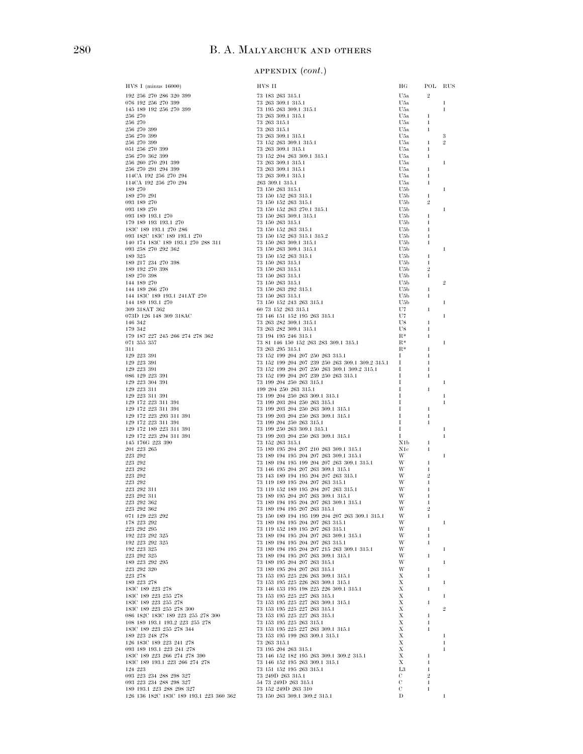| HVS I (minus 16000)                                                                                                                                                                                                                                                                                      | HVS II                                                                                                                     | ΗG                                                                      |                   | POL RUS        |
|----------------------------------------------------------------------------------------------------------------------------------------------------------------------------------------------------------------------------------------------------------------------------------------------------------|----------------------------------------------------------------------------------------------------------------------------|-------------------------------------------------------------------------|-------------------|----------------|
| 192 256 270 286 320 399                                                                                                                                                                                                                                                                                  | 73 183 263 315.1                                                                                                           | U5a                                                                     | $\overline{2}$    |                |
| 076 192 256 270 399                                                                                                                                                                                                                                                                                      | 73 263 309.1 315.1                                                                                                         | U5a                                                                     |                   | 1              |
| 145 189 192 256 270 399<br>256 270                                                                                                                                                                                                                                                                       | 73 195 263 309.1 315.1<br>73 263 309.1 315.1                                                                               | U5a<br>U5a                                                              | 1                 | $\mathbf{1}$   |
| 256 270                                                                                                                                                                                                                                                                                                  | 73 263 315.1                                                                                                               | U5a                                                                     | 1                 |                |
| 256 270 399                                                                                                                                                                                                                                                                                              | 73 263 315.1                                                                                                               | U5a                                                                     | -1                |                |
| 256 270 399                                                                                                                                                                                                                                                                                              | 73 263 309.1 315.1                                                                                                         | U5a                                                                     |                   | 3              |
| 256 270 399<br>051 256 270 399                                                                                                                                                                                                                                                                           | 73 152 263 309.1 315.1                                                                                                     | U5a                                                                     | 1                 | $\overline{2}$ |
| 256 270 362 399                                                                                                                                                                                                                                                                                          | 73 263 309.1 315.1<br>73 152 204 263 309.1 315.1                                                                           | U5a<br>U5a                                                              | 1<br>$\mathbf{1}$ |                |
| 256 260 270 291 399                                                                                                                                                                                                                                                                                      | 73 263 309.1 315.1                                                                                                         | U5a                                                                     |                   | 1              |
| 256 270 291 294 399                                                                                                                                                                                                                                                                                      | 73 263 309.1 315.1                                                                                                         | U5a                                                                     | 1                 |                |
| 114CA 192 256 270 294                                                                                                                                                                                                                                                                                    | 73 263 309.1 315.1                                                                                                         | U5a                                                                     | 1                 |                |
| 114CA 192 256 270 294                                                                                                                                                                                                                                                                                    | 263 309.1 315.1                                                                                                            | U5a<br>U5b                                                              | 1                 | 1              |
| $\begin{array}{cccc} 114\text{CA} & 192 & 256 & 270 & 294 & & & & & 263 & 309.1 & 315.1\\ 189 & 270 & 291 & & & & & 73 & 150 & 263 & 315.1\\ 189 & 270 & 291 & & & & & & 73 & 150 & 152 & 263 & 315.1\\ 189 & 270 & & & & & & & 73 & 150 & 152 & 263 & 315.1\\ 189 & 189 & 270 & & & & & 73 & 150 & 152$ |                                                                                                                            | U5b                                                                     | 1                 |                |
|                                                                                                                                                                                                                                                                                                          |                                                                                                                            | U5b                                                                     | $\overline{2}$    |                |
|                                                                                                                                                                                                                                                                                                          |                                                                                                                            | U5b                                                                     |                   | 1              |
|                                                                                                                                                                                                                                                                                                          |                                                                                                                            | U5b<br>U5b                                                              | 1                 |                |
|                                                                                                                                                                                                                                                                                                          |                                                                                                                            | U5b                                                                     | 1<br>1            |                |
|                                                                                                                                                                                                                                                                                                          |                                                                                                                            | U5b                                                                     | 1                 |                |
|                                                                                                                                                                                                                                                                                                          |                                                                                                                            | U5b                                                                     | 1                 |                |
|                                                                                                                                                                                                                                                                                                          |                                                                                                                            | U5b                                                                     |                   | 1              |
| 189 325                                                                                                                                                                                                                                                                                                  | 73 150 152 263 315.1                                                                                                       | U5b<br>U5b                                                              | 1<br>1            |                |
|                                                                                                                                                                                                                                                                                                          |                                                                                                                            | U5b                                                                     | $\,2$             |                |
|                                                                                                                                                                                                                                                                                                          |                                                                                                                            | U5b                                                                     | 1                 |                |
|                                                                                                                                                                                                                                                                                                          |                                                                                                                            | U5b                                                                     |                   | $\overline{2}$ |
|                                                                                                                                                                                                                                                                                                          | 73 150 263 292 315.1                                                                                                       | U5b<br>U5b                                                              | 1<br>1            |                |
|                                                                                                                                                                                                                                                                                                          | 73 150 152 243 263 315.1                                                                                                   | U5b                                                                     |                   | 1              |
|                                                                                                                                                                                                                                                                                                          | 60 73 152 263 315.1                                                                                                        | U7                                                                      | 1                 |                |
|                                                                                                                                                                                                                                                                                                          | 73 146 151 152 195 263 315.1                                                                                               | U7                                                                      |                   | 1              |
|                                                                                                                                                                                                                                                                                                          |                                                                                                                            | U8                                                                      | 1                 |                |
|                                                                                                                                                                                                                                                                                                          |                                                                                                                            | U8<br>$R^*$                                                             | 1<br>1            |                |
| $071\ \ 355\ \ 357$                                                                                                                                                                                                                                                                                      | 73 81 146 150 152 263 283 309.1 315.1                                                                                      | $R^*$                                                                   |                   | 1              |
| 311                                                                                                                                                                                                                                                                                                      | 73 263 295 315.1                                                                                                           | $R^*$                                                                   | 1                 |                |
| 129 223 391                                                                                                                                                                                                                                                                                              | 73 152 199 204 207 250 263 315.1                                                                                           | Ι.                                                                      | 1                 |                |
| 129 223 391<br>129 223 391                                                                                                                                                                                                                                                                               | 73 152 199 204 207 239 250 263 309.1 309.2 315.1 I<br>73 152 199 204 207 250 263 309.1 309.2 315.1 I                       |                                                                         | -1<br>-1          |                |
| 086 129 223 391                                                                                                                                                                                                                                                                                          |                                                                                                                            |                                                                         | 1                 |                |
| 129 223 304 391                                                                                                                                                                                                                                                                                          | 73 152 199 204 207 239 250 263 315.1<br>73 152 199 204 250 263 315.1<br>73 199 204 250 263 315.1                           | $\begin{array}{c}\n\mathbf{i} \\ \mathbf{I} \\ \mathbf{I}\n\end{array}$ |                   | 1              |
| 129 223 311                                                                                                                                                                                                                                                                                              | 199 204 250 263 315.1                                                                                                      | Ι.                                                                      | 1                 |                |
| 129 223 311 391                                                                                                                                                                                                                                                                                          | $73$ 199 204 250 263 309.1 315.1                                                                                           | Ι.                                                                      |                   | 1              |
| 129 172 223 311 391<br>129 172 223 311 391                                                                                                                                                                                                                                                               | 73 199 203 204 250 263 315.1                                                                                               | Ι.<br>Ι.                                                                | 1                 | 1              |
| 129 172 223 293 311 391                                                                                                                                                                                                                                                                                  | 73 199 203 204 250 263 309.1 315.1<br>73 199 203 204 250 263 309.1 315.1<br>72 100 304 350 362 215.1                       | Ι.                                                                      | 1                 |                |
| 129 172 223 311 391                                                                                                                                                                                                                                                                                      | 73 199 204 250 263 315.1                                                                                                   | Ι.                                                                      | 1                 |                |
| 129 172 189 223 311 391                                                                                                                                                                                                                                                                                  | 73 199 204 250 263 315.1<br>73 199 250 263 309.1 315.1<br>73 199 203 204 250 263 309.1 315.1                               | Ι.                                                                      |                   |                |
| 129 172 223 294 311 391<br>145 176G 223 390                                                                                                                                                                                                                                                              | 73 152 263 315.1                                                                                                           | Ι.<br>N1b                                                               | 1                 | 1              |
| 201 223 265                                                                                                                                                                                                                                                                                              |                                                                                                                            | N1c                                                                     | -1                |                |
| 223 292                                                                                                                                                                                                                                                                                                  | 75 189 195 204 207 210 263 309.1 315.1<br>73 189 194 195 204 207 263 309.1 315.1<br>73 189 194 195 204 207 263 309.1 315.1 | W                                                                       |                   | 1              |
| $223\ \ 292$                                                                                                                                                                                                                                                                                             | $\label{eq:3.189} 73\ 189\ 194\ 195\ 199\ 204\ 207\ 263\ 309.1\ 315.1 \hspace{1.5cm} \text{W}$                             |                                                                         | 1                 |                |
| $223\ \ 292$<br>223 292                                                                                                                                                                                                                                                                                  | 73 146 195 204 207 263 309.1 315.1<br>73 143 189 194 195 204 207 263 315.1                                                 | W<br>W                                                                  | $\boldsymbol{2}$  |                |
| $223\ \ 292$                                                                                                                                                                                                                                                                                             | 73 119 189 195 204 207 263 315.1                                                                                           | W                                                                       | 1                 |                |
| 223 292 311                                                                                                                                                                                                                                                                                              | 73 119 152 189 195 204 207 263 315.1                                                                                       | W                                                                       |                   |                |
| 223 292 311                                                                                                                                                                                                                                                                                              | 73 189 195 204 207 263 309.1 315.1                                                                                         | - W                                                                     | -1                |                |
| 223 292 362                                                                                                                                                                                                                                                                                              | 73 189 194 195 204 207 263 309.1 315.1<br>73 189 194 195 207 263 315.1                                                     | W                                                                       | 1                 |                |
| 223 292 362                                                                                                                                                                                                                                                                                              |                                                                                                                            |                                                                         |                   |                |
|                                                                                                                                                                                                                                                                                                          |                                                                                                                            |                                                                         |                   | 1              |
|                                                                                                                                                                                                                                                                                                          |                                                                                                                            |                                                                         |                   |                |
|                                                                                                                                                                                                                                                                                                          |                                                                                                                            |                                                                         |                   |                |
|                                                                                                                                                                                                                                                                                                          |                                                                                                                            |                                                                         |                   | -1             |
|                                                                                                                                                                                                                                                                                                          |                                                                                                                            |                                                                         |                   |                |
|                                                                                                                                                                                                                                                                                                          |                                                                                                                            |                                                                         |                   | $\mathbf{1}$   |
|                                                                                                                                                                                                                                                                                                          |                                                                                                                            |                                                                         |                   |                |
|                                                                                                                                                                                                                                                                                                          |                                                                                                                            |                                                                         |                   | $\mathbf{1}$   |
|                                                                                                                                                                                                                                                                                                          |                                                                                                                            |                                                                         |                   |                |
|                                                                                                                                                                                                                                                                                                          |                                                                                                                            |                                                                         |                   | -1             |
|                                                                                                                                                                                                                                                                                                          |                                                                                                                            |                                                                         |                   |                |
|                                                                                                                                                                                                                                                                                                          |                                                                                                                            |                                                                         |                   | $\,2$          |
|                                                                                                                                                                                                                                                                                                          |                                                                                                                            |                                                                         |                   |                |
|                                                                                                                                                                                                                                                                                                          |                                                                                                                            |                                                                         |                   |                |
|                                                                                                                                                                                                                                                                                                          |                                                                                                                            |                                                                         |                   | 1              |
|                                                                                                                                                                                                                                                                                                          |                                                                                                                            |                                                                         |                   | $\mathbf{1}$   |
|                                                                                                                                                                                                                                                                                                          |                                                                                                                            |                                                                         |                   | 1              |
|                                                                                                                                                                                                                                                                                                          |                                                                                                                            |                                                                         |                   |                |
|                                                                                                                                                                                                                                                                                                          |                                                                                                                            |                                                                         |                   |                |
|                                                                                                                                                                                                                                                                                                          |                                                                                                                            |                                                                         |                   |                |
|                                                                                                                                                                                                                                                                                                          |                                                                                                                            |                                                                         |                   |                |
|                                                                                                                                                                                                                                                                                                          |                                                                                                                            |                                                                         |                   | 1              |
|                                                                                                                                                                                                                                                                                                          |                                                                                                                            |                                                                         |                   |                |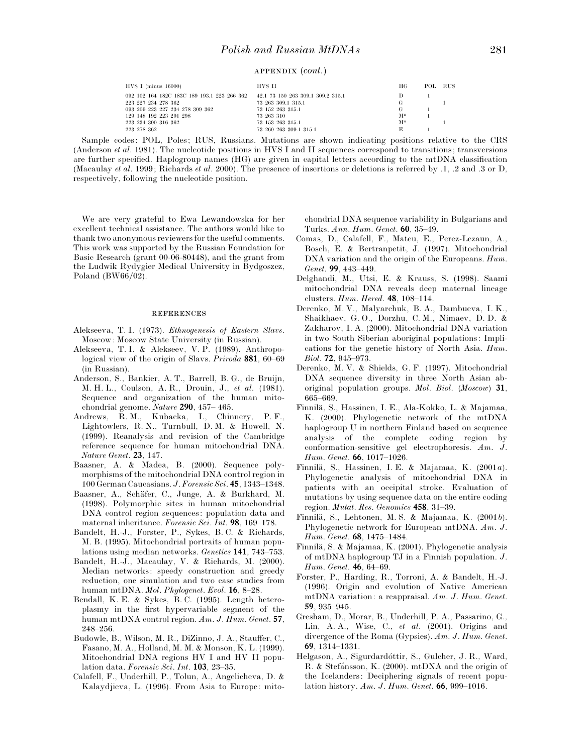| $HVS$ I (minus 16000)                       | HVS II                            | HG    | POL RUS |  |
|---------------------------------------------|-----------------------------------|-------|---------|--|
| 092 102 164 182C 183C 189 193.1 223 266 362 | 42.1 73 150 263 309.1 309.2 315.1 | Ð     |         |  |
| 223 227 234 278 362                         | 73 263 309.1 315.1                | G     |         |  |
| 093 209 223 227 234 278 309 362             | 73 152 263 315.1                  | G     |         |  |
| 129 148 192 223 291 298                     | 73 263 310                        | $M^*$ |         |  |
| 223 234 300 316 362                         | 73 153 263 315.1                  | $M^*$ |         |  |
| 223 278 362                                 | 73 260 263 309.1 315.1            | E     |         |  |

Sample codes: POL, Poles; RUS, Russians. Mutations are shown indicating positions relative to the CRS (Anderson *et al*. 1981). The nucleotide positions in HVS I and II sequences correspond to transitions; transversions are further specified. Haplogroup names (HG) are given in capital letters according to the mtDNA classification (Macaulay *et al*. 1999; Richards *et al*. 2000). The presence of insertions or deletions is referred by .1, .2 and .3 or D, respectively, following the nucleotide position.

We are very grateful to Ewa Lewandowska for her excellent technical assistance. The authors would like to thank two anonymous reviewers for the useful comments. This work was supported by the Russian Foundation for Basic Research (grant 00-06-80448), and the grant from the Ludwik Rydygier Medical University in Bydgoszcz, Poland (BW $66/02$ ).

#### **REFERENCES**

- Alekseeva, T. I. (1973). *Ethnogenesis of Eastern Slavs*. Moscow: Moscow State University (in Russian).
- Alekseeva, T. I. & Alekseev, V. P. (1989). Anthropological view of the origin of Slavs. *Priroda* **881**, 60–69 (in Russian).
- Anderson, S., Bankier, A. T., Barrell, B. G., de Bruijn, M. H. L., Coulson, A. R., Drouin, J., *et al*. (1981). Sequence and organization of the human mitochondrial genome. *Nature* **290**, 457– 465.
- Andrews, R. M., Kubacka, I., Chinnery, P. F., Lightowlers, R. N., Turnbull, D. M. & Howell, N. (1999). Reanalysis and revision of the Cambridge reference sequence for human mitochondrial DNA. *Nature Genet*. **23**, 147.
- Baasner, A. & Madea, B. (2000). Sequence polymorphisms of the mitochondrial DNA control region in 100 German Caucasians. *J*. *Forensic Sci*. **45**, 1343–1348.
- Baasner, A., Scha\$fer, C., Junge, A. & Burkhard, M. (1998). Polymorphic sites in human mitochondrial DNA control region sequences: population data and maternal inheritance. *Forensic Sci*. *Int*. **98**, 169–178.
- Bandelt, H.-J., Forster, P., Sykes, B. C. & Richards, M. B. (1995). Mitochondrial portraits of human populations using median networks. *Genetics* **141**, 743–753.
- Bandelt, H.-J., Macaulay, V. & Richards, M. (2000). Median networks: speedy construction and greedy reduction, one simulation and two case studies from human mtDNA. *Mol*. *Phylogenet*. *Evol*. **16**, 8–28.
- Bendall, K. E. & Sykes, B. C. (1995). Length heteroplasmy in the first hypervariable segment of the human mtDNA control region. *Am*. *J*. *Hum*. *Genet*. **57**, 248–256.
- Budowle, B., Wilson, M. R., DiZinno, J. A., Stauffer, C., Fasano, M. A., Holland, M. M. & Monson, K. L. (1999). Mitochondrial DNA regions HV I and HV II population data. *Forensic Sci*. *Int*. **103**, 23–35.
- Calafell, F., Underhill, P., Tolun, A., Angelicheva, D. & Kalaydjieva, L. (1996). From Asia to Europe: mito-

chondrial DNA sequence variability in Bulgarians and Turks. *Ann*. *Hum*. *Genet*. **60**, 35–49.

- Comas, D., Calafell, F., Mateu, E., Perez-Lezaun, A., Bosch, E. & Bertranpetit, J. (1997). Mitochondrial DNA variation and the origin of the Europeans. *Hum*. *Genet*. **99**, 443–449.
- Delghandi, M., Utsi, E. & Krauss, S. (1998). Saami mitochondrial DNA reveals deep maternal lineage clusters. *Hum*. *Hered*. **48**, 108–114.
- Derenko, M. V., Malyarchuk, B. A., Dambueva, I. K., Shaikhaev, G. O., Dorzhu, C. M., Nimaev, D. D. & Zakharov, I. A. (2000). Mitochondrial DNA variation in two South Siberian aboriginal populations: Implications for the genetic history of North Asia. *Hum*. *Biol*. **72**, 945–973.
- Derenko, M. V. & Shields, G. F. (1997). Mitochondrial DNA sequence diversity in three North Asian aboriginal population groups. *Mol*. *Biol*. (*Moscow*) **31**, 665–669.
- Finnila\$, S., Hassinen, I. E., Ala-Kokko, L. & Majamaa, K. (2000). Phylogenetic network of the mtDNA haplogroup U in northern Finland based on sequence analysis of the complete coding region by conformation-sensitive gel electrophoresis. *Am*. *J*. *Hum*. *Genet*. **66**, 1017–1026.
- Finnila\$, S., Hassinen, I. E. & Majamaa, K. (2001*a*). Phylogenetic analysis of mitochondrial DNA in patients with an occipital stroke. Evaluation of mutations by using sequence data on the entire coding region. *Mutat*. *Res*. *Genomics* **458**, 31–39.
- Finnila\$, S., Lehtonen, M. S. & Majamaa, K. (2001*b*). Phylogenetic network for European mtDNA. *Am*. *J*. *Hum*. *Genet*. **68**, 1475–1484.
- Finnila\$, S. & Majamaa, K. (2001). Phylogenetic analysis of mtDNA haplogroup TJ in a Finnish population. *J*. *Hum*. *Genet*. **46**, 64–69.
- Forster, P., Harding, R., Torroni, A. & Bandelt, H.-J. (1996). Origin and evolution of Native American mtDNA variation: a reappraisal. *Am*. *J*. *Hum*. *Genet*. **59**, 935–945.
- Gresham, D., Morar, B., Underhill, P. A., Passarino, G., Lin, A. A., Wise, C., *et al*. (2001). Origins and divergence of the Roma (Gypsies). *Am*. *J*. *Hum*. *Genet*. **69**, 1314–1331.
- Helgason, A., Sigurdardóttir, S., Gulcher, J. R., Ward, R. & Stefánsson, K.  $(2000)$ . mtDNA and the origin of the Icelanders: Deciphering signals of recent population history. *Am*. *J*. *Hum*. *Genet*. **66**, 999–1016.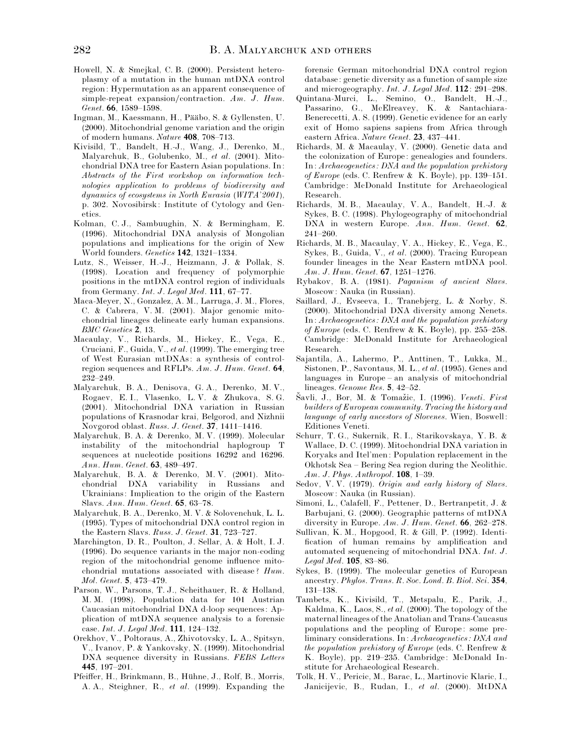- Howell, N. & Smejkal, C. B. (2000). Persistent heteroplasmy of a mutation in the human mtDNA control region: Hypermutation as an apparent consequence of simple-repeat expansion}contraction. *Am*. *J*. *Hum*. *Genet*. **66**, 1589–1598.
- Ingman, M., Kaessmann, H., Pääbo, S. & Gyllensten, U. (2000). Mitochondrial genome variation and the origin of modern humans. *Nature* **408**, 708–713.
- Kivisild, T., Bandelt, H.-J., Wang, J., Derenko, M., Malyarchuk, B., Golubenko, M., *et al*. (2001). Mitochondrial DNA tree for Eastern Asian populations. In: *Abstracts of the First workshop on information technologies application to problems of biodiversity and dynamics of ecosystems in North Eurasia* (*WITA*'*2001*), p. 302. Novosibirsk: Institute of Cytology and Genetics.
- Kolman, C. J., Sambuughin, N. & Bermingham, E. (1996). Mitochondrial DNA analysis of Mongolian populations and implications for the origin of New World founders. *Genetics* **142**, 1321–1334.
- Lutz, S., Weisser, H.-J., Heizmann, J. & Pollak, S. (1998). Location and frequency of polymorphic positions in the mtDNA control region of individuals from Germany. *Int*. *J*. *Legal Med*. **111**, 67–77.
- Maca-Meyer, N., Gonzalez, A. M., Larruga, J. M., Flores, C. & Cabrera, V. M. (2001). Major genomic mitochondrial lineages delineate early human expansions. *BMC Genetics* **2**, 13.
- Macaulay, V., Richards, M., Hickey, E., Vega, E., Cruciani, F., Guida, V., *et al*. (1999). The emerging tree of West Eurasian mtDNAs: a synthesis of controlregion sequences and RFLPs. *Am*. *J*. *Hum*. *Genet*. **64**, 232–249.
- Malyarchuk, B. A., Denisova, G. A., Derenko, M. V., Rogaev, E. I., Vlasenko, L. V. & Zhukova, S. G. (2001). Mitochondrial DNA variation in Russian populations of Krasnodar krai, Belgorod, and Nizhnii Novgorod oblast. *Russ*. *J*. *Genet*. **37**, 1411–1416.
- Malyarchuk, B. A. & Derenko, M. V. (1999). Molecular instability of the mitochondrial haplogroup T sequences at nucleotide positions 16292 and 16296. *Ann*. *Hum*. *Genet*. **63**, 489–497.
- Malyarchuk, B. A. & Derenko, M. V. (2001). Mitochondrial DNA variability in Russians and Ukrainians: Implication to the origin of the Eastern Slavs. *Ann*. *Hum*. *Genet*. **65**, 63–78.
- Malyarchuk, B. A., Derenko, M. V. & Solovenchuk, L. L. (1995). Types of mitochondrial DNA control region in the Eastern Slavs. *Russ*. *J*. *Genet*. **31**, 723–727.
- Marchington, D. R., Poulton, J. Sellar, A. & Holt, I. J. (1996). Do sequence variants in the major non-coding region of the mitochondrial genome influence mitochondrial mutations associated with disease? *Hum*. *Mol*. *Genet*. **5**, 473–479.
- Parson, W., Parsons, T. J., Scheithauer, R. & Holland, M. M. (1998). Population data for 101 Austrian Caucasian mitochondrial DNA d-loop sequences: Application of mtDNA sequence analysis to a forensic case. *Int*. *J*. *Legal Med*. **111**, 124–132.
- Orekhov, V., Poltoraus, A., Zhivotovsky, L. A., Spitsyn, V., Ivanov, P. & Yankovsky, N. (1999). Mitochondrial DNA sequence diversity in Russians. *FEBS Letters* **445**, 197–201.
- Pfeiffer, H., Brinkmann, B., Hühne, J., Rolf, B., Morris, A. A., Steighner, R., *et al*. (1999). Expanding the

forensic German mitochondrial DNA control region database: genetic diversity as a function of sample size and microgeography. *Int*. *J*. *Legal Med*. **112**: 291–298.

- Quintana-Murci, L., Semino, O., Bandelt, H.-J., Passarino, G., McElreavey, K. & Santachiara-Benerecetti, A. S. (1999). Genetic evidence for an early exit of Homo sapiens sapiens from Africa through eastern Africa. *Nature Genet*. **23**, 437–441.
- Richards, M. & Macaulay, V. (2000). Genetic data and the colonization of Europe: genealogies and founders. In: *Archaeogenetics : DNA and the population prehistory of Europe* (eds. C. Renfrew & K. Boyle), pp. 139–151. Cambridge: McDonald Institute for Archaeological Research.
- Richards, M. B., Macaulay, V. A., Bandelt, H.-J. & Sykes, B. C. (1998). Phylogeography of mitochondrial DNA in western Europe. *Ann*. *Hum*. *Genet*. **62**, 241–260.
- Richards, M. B., Macaulay, V. A., Hickey, E., Vega, E., Sykes, B., Guida, V., *et al*. (2000). Tracing European founder lineages in the Near Eastern mtDNA pool. *Am*. *J*. *Hum*. *Genet*. **67**, 1251–1276.
- Rybakov, B. A. (1981). *Paganism of ancient Slavs*. Moscow: Nauka (in Russian).
- Saillard, J., Evseeva, I., Tranebjerg, L. & Norby, S. (2000). Mitochondrial DNA diversity among Nenets. In: *Archaeogenetics : DNA and the population prehistory of Europe* (eds. C. Renfrew & K. Boyle), pp. 255–258. Cambridge: McDonald Institute for Archaeological Research.
- Sajantila, A., Lahermo, P., Anttinen, T., Lukka, M., Sistonen, P., Savontaus, M. L., *et al*. (1995). Genes and languages in Europe – an analysis of mitochondrial lineages. *Genome Res*. **5**, 42–52.
- Savli, J., Bor, M. & Tomažic, I. (1996). *Veneti. First builders of European community*. *Tracing the history and language of early ancestors of Slovenes*. Wien, Boswell: Editiones Veneti.
- Schurr, T. G., Sukernik, R. I., Starikovskaya, Y. B. & Wallace, D. C. (1999). Mitochondrial DNA variation in Koryaks and Itel'men: Population replacement in the Okhotsk Sea – Bering Sea region during the Neolithic. *Am*. *J*. *Phys*. *Anthropol*. **108**, 1–39.
- Sedov, V. V. (1979). *Origin and early history of Slavs*. Moscow: Nauka (in Russian).
- Simoni, L., Calafell, F., Pettener, D., Bertranpetit, J. & Barbujani, G. (2000). Geographic patterns of mtDNA diversity in Europe. *Am*. *J*. *Hum*. *Genet*. **66**, 262–278.
- Sullivan, K. M., Hopgood, R. & Gill, P. (1992). Identification of human remains by amplification and automated sequencing of mitochondrial DNA. *Int*. *J*. *Legal Med*. **105**, 83–86.
- Sykes, B. (1999). The molecular genetics of European ancestry. *Phylos*. *Trans*. *R*. *Soc*. *Lond*. *B*. *Biol*. *Sci*. **354**, 131–138.
- Tambets, K., Kivisild, T., Metspalu, E., Parik, J., Kaldma, K., Laos, S., *et al*. (2000). The topology of the maternal lineages of the Anatolian and Trans-Caucasus populations and the peopling of Europe: some preliminary considerations. In: *Archaeogenetics : DNA and the population prehistory of Europe* (eds. C. Renfrew & K. Boyle), pp. 219–235. Cambridge: McDonald Institute for Archaeological Research.
- Tolk, H. V., Pericic, M., Barac, L., Martinovic Klaric, I., Janicijevic, B., Rudan, I., *et al*. (2000). MtDNA